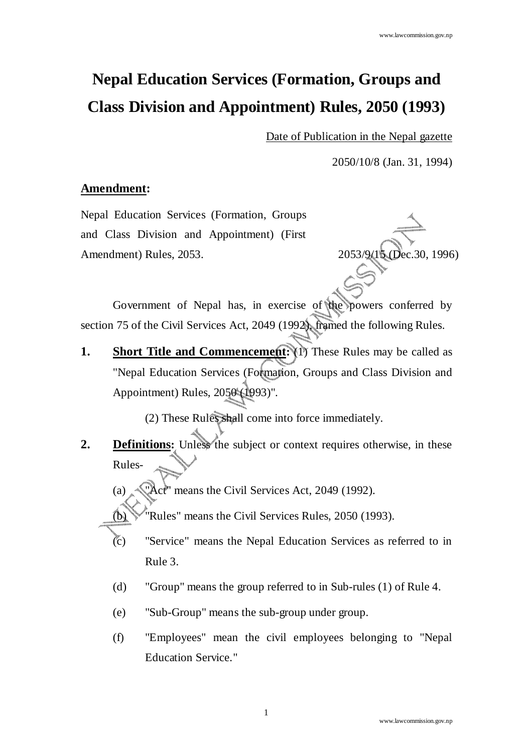# **Nepal Education Services (Formation, Groups and Class Division and Appointment) Rules, 2050 (1993)**

Date of Publication in the Nepal gazette

2050/10/8 (Jan. 31, 1994)

#### **Amendment:**

Nepal Education Services (Formation, Groups and Class Division and Appointment) (First Amendment) Rules, 2053. 2053/9/15 (Dec.30, 1996)

Government of Nepal has, in exercise of the powers conferred by section 75 of the Civil Services Act, 2049 (1992), framed the following Rules.

**1.** Short Title and Commencement: (1) These Rules may be called as "Nepal Education Services (Formation, Groups and Class Division and Appointment) Rules, 2050 (1993)".

(2) These Rules shall come into force immediately.

**2. Definitions:** Unless the subject or context requires otherwise, in these Rules-

(a)  $\sqrt{2}$ ct<sup>"</sup> means the Civil Services Act, 2049 (1992).

 $(b)$  "Rules" means the Civil Services Rules, 2050 (1993).

- (c) "Service" means the Nepal Education Services as referred to in Rule 3.
- (d) "Group" means the group referred to in Sub-rules (1) of Rule 4.
- (e) "Sub-Group" means the sub-group under group.
- (f) "Employees" mean the civil employees belonging to "Nepal Education Service."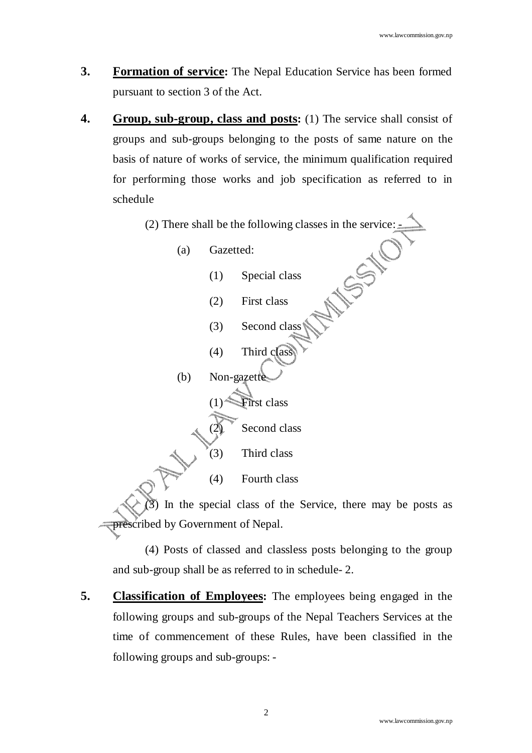- **3.** Formation of service: The Nepal Education Service has been formed pursuant to section 3 of the Act.
- **4. Group, sub-group, class and posts:** (1) The service shall consist of groups and sub-groups belonging to the posts of same nature on the basis of nature of works of service, the minimum qualification required for performing those works and job specification as referred to in schedule
	- (a) Gazetted:
- (2) There shall be the following classes in the service:<br>
(a) Gazetted:<br>
(1) Special class (1) Special class (2) First class (3) Second class
	- $(4)$  Third class

 $(b)$  Non-gazettes  $(1)$  First class Second class

(3) Third class

(4) Fourth class

In the special class of the Service, there may be posts as prescribed by Government of Nepal.

(4) Posts of classed and classless posts belonging to the group and sub-group shall be as referred to in schedule- 2.

**5. Classification of Employees:** The employees being engaged in the following groups and sub-groups of the Nepal Teachers Services at the time of commencement of these Rules, have been classified in the following groups and sub-groups: -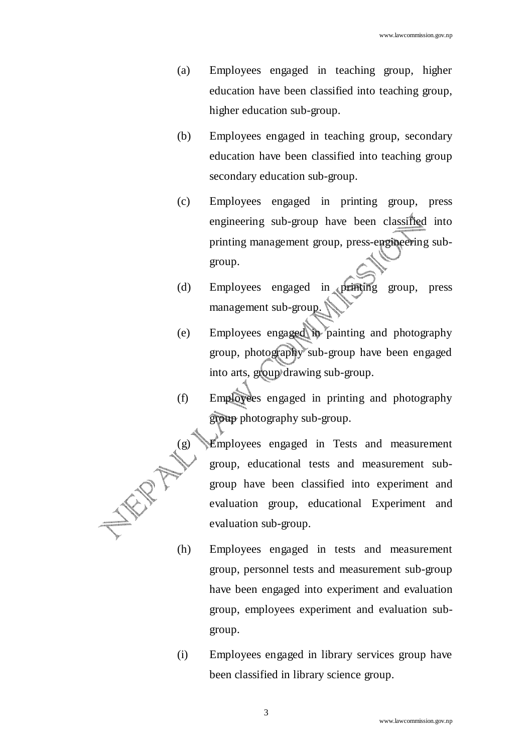- (a) Employees engaged in teaching group, higher education have been classified into teaching group, higher education sub-group.
- (b) Employees engaged in teaching group, secondary education have been classified into teaching group secondary education sub-group.
- (c) Employees engaged in printing group, press engineering sub-group have been classified into printing management group, press-engineering subgroup.
- (d) Employees engaged in printing group, press management sub-group.
- (e) Employees engaged in painting and photography group, photography sub-group have been engaged into arts, group drawing sub-group.
- (f) Employees engaged in printing and photography group photography sub-group.
	- (g) Employees engaged in Tests and measurement group, educational tests and measurement subgroup have been classified into experiment and evaluation group, educational Experiment and evaluation sub-group.
- (h) Employees engaged in tests and measurement group, personnel tests and measurement sub-group have been engaged into experiment and evaluation group, employees experiment and evaluation subgroup.
- (i) Employees engaged in library services group have been classified in library science group.

WR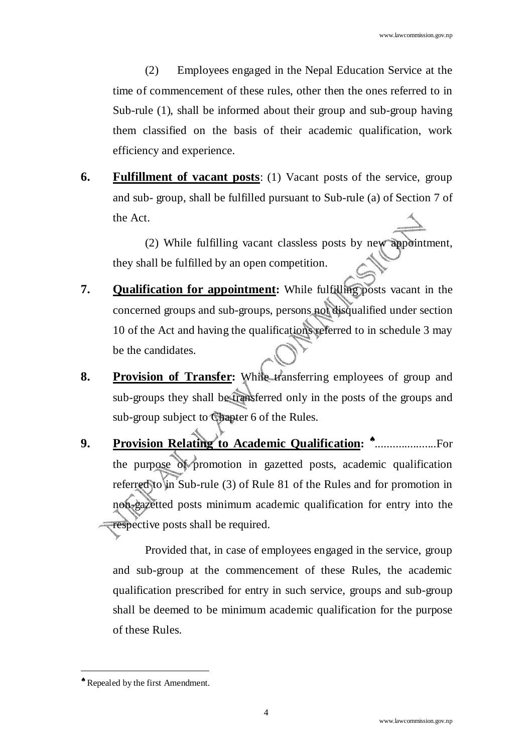(2) Employees engaged in the Nepal Education Service at the time of commencement of these rules, other then the ones referred to in Sub-rule (1), shall be informed about their group and sub-group having them classified on the basis of their academic qualification, work efficiency and experience.

**6. Fulfillment of vacant posts**: (1) Vacant posts of the service, group and sub- group, shall be fulfilled pursuant to Sub-rule (a) of Section 7 of the Act.

(2) While fulfilling vacant classless posts by new appointment, they shall be fulfilled by an open competition.

- **7. Qualification for appointment:** While fulfilling posts vacant in the concerned groups and sub-groups, persons not disqualified under section 10 of the Act and having the qualifications referred to in schedule 3 may be the candidates.
- **8. Provision of Transfer:** While transferring employees of group and sub-groups they shall be transferred only in the posts of the groups and sub-group subject to Chapter 6 of the Rules.
- 9. Provision Relating to Academic Qualification: **\***............................For the purpose of promotion in gazetted posts, academic qualification referred to in Sub-rule (3) of Rule 81 of the Rules and for promotion in non-gazetted posts minimum academic qualification for entry into the **respective posts shall be required.**

Provided that, in case of employees engaged in the service, group and sub-group at the commencement of these Rules, the academic qualification prescribed for entry in such service, groups and sub-group shall be deemed to be minimum academic qualification for the purpose of these Rules.

<sup>♠</sup> Repealed by the first Amendment.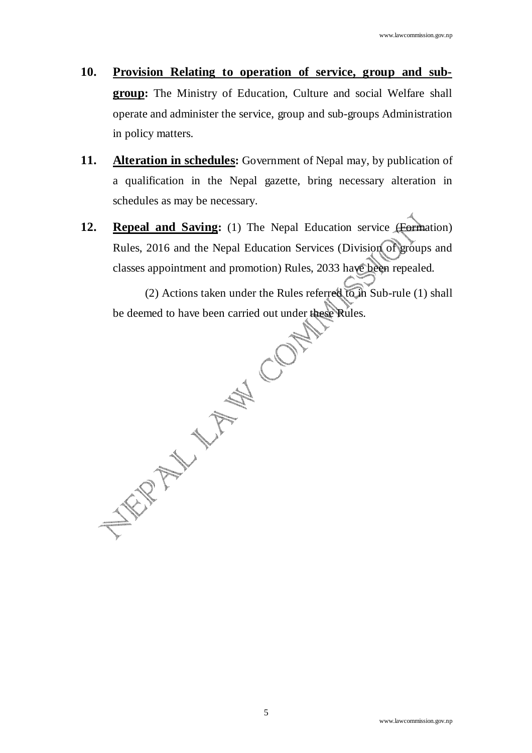- **10. Provision Relating to operation of service, group and subgroup:** The Ministry of Education, Culture and social Welfare shall operate and administer the service, group and sub-groups Administration in policy matters.
- **11. Alteration in schedules:** Government of Nepal may, by publication of a qualification in the Nepal gazette, bring necessary alteration in schedules as may be necessary.
- **12. Repeal and Saving:** (1) The Nepal Education service (Formation) Rules, 2016 and the Nepal Education Services (Division of groups and classes appointment and promotion) Rules, 2033 have been repealed.

(2) Actions taken under the Rules referred to in Sub-rule (1) shall<br>be deemed to have been carried out under these Rules. be deemed to have been carried out under these Rules.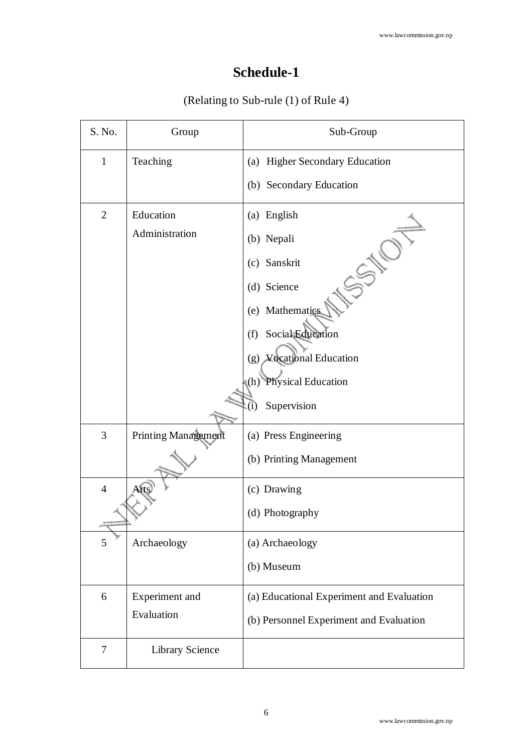# **Schedule-1**

## (Relating to Sub-rule (1) of Rule 4)

| S. No.         | Group               | Sub-Group                                 |
|----------------|---------------------|-------------------------------------------|
| $\mathbf{1}$   | Teaching            | (a) Higher Secondary Education            |
|                |                     | (b) Secondary Education                   |
| $\overline{2}$ | Education           | (a) English                               |
|                | Administration      | (b) Nepali                                |
|                |                     | (c) Sanskrit                              |
|                |                     | (d) Science                               |
|                |                     | (e) Mathematics                           |
|                |                     | Social Education<br>(f)                   |
|                |                     | (g) Vocational Education                  |
|                |                     | Physical Education<br>(h)                 |
|                |                     | Supervision<br>$\left(1\right)$           |
| 3              | Printing Management | (a) Press Engineering                     |
|                |                     | (b) Printing Management                   |
| $\overline{4}$ | Arts                | (c) Drawing                               |
|                |                     | (d) Photography                           |
| 5              | Archaeology         | (a) Archaeology                           |
|                |                     | (b) Museum                                |
| 6              | Experiment and      | (a) Educational Experiment and Evaluation |
|                | Evaluation          | (b) Personnel Experiment and Evaluation   |
| 7              | Library Science     |                                           |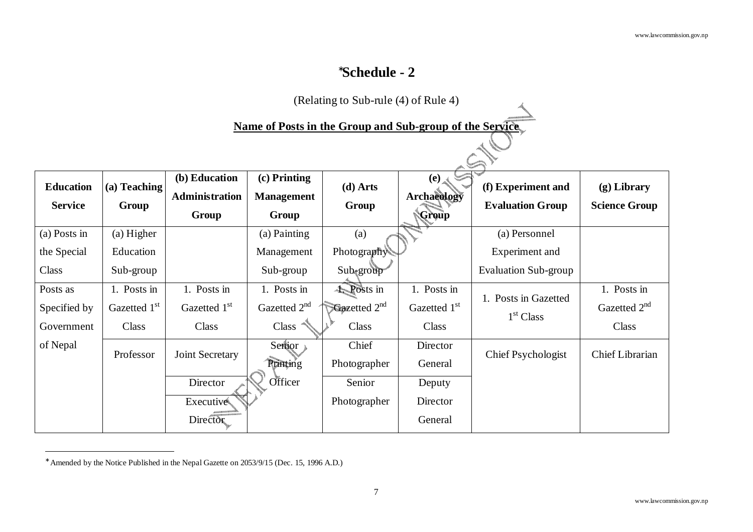## ∗**Schedule - 2**

|                  | (Relating to Sub-rule $(4)$ of Rule 4) |                          |                          |                                                          |              |                             |                          |  |  |  |  |  |
|------------------|----------------------------------------|--------------------------|--------------------------|----------------------------------------------------------|--------------|-----------------------------|--------------------------|--|--|--|--|--|
|                  |                                        |                          |                          | Name of Posts in the Group and Sub-group of the Service. |              |                             |                          |  |  |  |  |  |
|                  |                                        |                          |                          |                                                          |              |                             |                          |  |  |  |  |  |
|                  |                                        |                          |                          |                                                          |              |                             |                          |  |  |  |  |  |
|                  |                                        | (b) Education            | $(c)$ Printing           |                                                          | (e)          |                             |                          |  |  |  |  |  |
| <b>Education</b> | (a) Teaching                           | <b>Administration</b>    | <b>Management</b>        | $(d)$ Arts                                               | Archaeology  | (f) Experiment and          | $(g)$ Library            |  |  |  |  |  |
| <b>Service</b>   | Group                                  | Group                    | Group                    | Group                                                    | Group        | <b>Evaluation Group</b>     | <b>Science Group</b>     |  |  |  |  |  |
|                  |                                        |                          |                          |                                                          |              |                             |                          |  |  |  |  |  |
| (a) Posts in     | $(a)$ Higher                           |                          | (a) Painting             | (a)                                                      |              | (a) Personnel               |                          |  |  |  |  |  |
| the Special      | Education                              |                          | Management               | Photography                                              |              | Experiment and              |                          |  |  |  |  |  |
| Class            | Sub-group                              |                          | Sub-group                | Sub <sub>tgroup</sub>                                    |              | <b>Evaluation Sub-group</b> |                          |  |  |  |  |  |
| Posts as         | 1. Posts in                            | 1. Posts in              | 1. Posts in              | 4. Posts in                                              | 1. Posts in  | 1. Posts in Gazetted        | 1. Posts in              |  |  |  |  |  |
| Specified by     | Gazetted 1st                           | Gazetted 1 <sup>st</sup> | Gazetted 2 <sup>nd</sup> | Gazetted $2^{nd}$                                        | Gazetted 1st |                             | Gazetted 2 <sup>nd</sup> |  |  |  |  |  |
| Government       | Class                                  | Class                    | Class                    | Class                                                    | Class        | 1 <sup>st</sup> Class       | Class                    |  |  |  |  |  |
| of Nepal         | Professor                              | Joint Secretary          | Senior                   | Chief                                                    | Director     | <b>Chief Psychologist</b>   | <b>Chief Librarian</b>   |  |  |  |  |  |
|                  |                                        |                          | <b>Runting</b>           | Photographer                                             | General      |                             |                          |  |  |  |  |  |
|                  |                                        | Director                 | Officer                  | Senior                                                   | Deputy       |                             |                          |  |  |  |  |  |
|                  |                                        | Executive                |                          | Photographer                                             | Director     |                             |                          |  |  |  |  |  |
|                  |                                        | Director                 |                          |                                                          | General      |                             |                          |  |  |  |  |  |

<sup>∗</sup> Amended by the Notice Published in the Nepal Gazette on 2053/9/15 (Dec. 15, 1996 A.D.)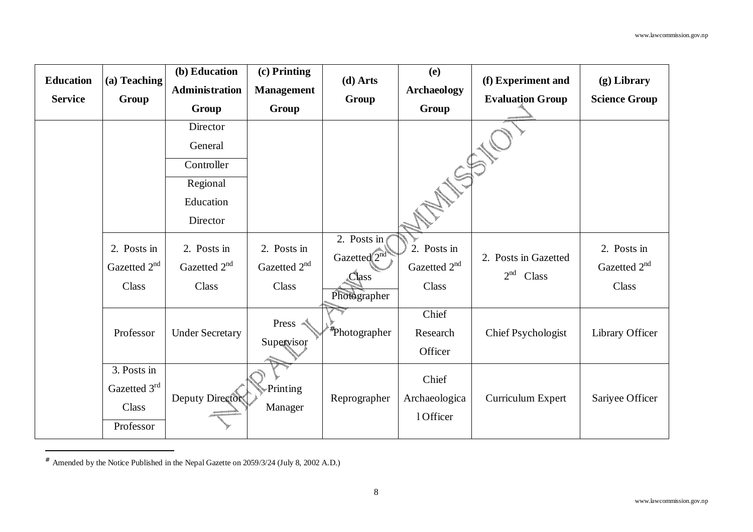| <b>Education</b> | (a) Teaching                                      | (b) Education<br>Administration                  | (c) Printing<br><b>Management</b>                | $(d)$ Arts                                                      | <b>(e)</b><br><b>Archaeology</b>                 | (f) Experiment and                               | $(g)$ Library                                    |
|------------------|---------------------------------------------------|--------------------------------------------------|--------------------------------------------------|-----------------------------------------------------------------|--------------------------------------------------|--------------------------------------------------|--------------------------------------------------|
| <b>Service</b>   | Group                                             | Group                                            | Group                                            | Group                                                           | Group                                            | <b>Evaluation Group</b>                          | <b>Science Group</b>                             |
|                  |                                                   | Director                                         |                                                  |                                                                 |                                                  |                                                  |                                                  |
|                  |                                                   | General                                          |                                                  |                                                                 |                                                  |                                                  |                                                  |
|                  |                                                   | Controller                                       |                                                  |                                                                 | ATES !                                           |                                                  |                                                  |
|                  |                                                   | Regional                                         |                                                  |                                                                 |                                                  |                                                  |                                                  |
|                  |                                                   | Education                                        |                                                  |                                                                 |                                                  |                                                  |                                                  |
|                  |                                                   | Director                                         |                                                  |                                                                 |                                                  |                                                  |                                                  |
|                  | 2. Posts in<br>Gazetted 2 <sup>nd</sup><br>Class  | 2. Posts in<br>Gazetted 2 <sup>nd</sup><br>Class | 2. Posts in<br>Gazetted 2 <sup>nd</sup><br>Class | 2. Posts in<br>Gazetted <sup>2nd</sup><br>Class<br>Photographer | 2. Posts in<br>Gazetted 2 <sup>nd</sup><br>Class | 2. Posts in Gazetted<br>2 <sup>nd</sup><br>Class | 2. Posts in<br>Gazetted 2 <sup>nd</sup><br>Class |
|                  | Professor                                         | <b>Under Secretary</b>                           | Press <<br>Supervisor                            | <sup>†</sup> Photographer                                       | Chief<br>Research<br>Officer                     | <b>Chief Psychologist</b>                        | Library Officer                                  |
|                  | 3. Posts in<br>Gazetted 3rd<br>Class<br>Professor | Deputy Director                                  | Printing<br>Manager                              | Reprographer                                                    | Chief<br>Archaeologica<br>1 Officer              | Curriculum Expert                                | Sariyee Officer                                  |

<sup>#</sup> Amended by the Notice Published in the Nepal Gazette on 2059/3/24 (July 8, 2002 A.D.)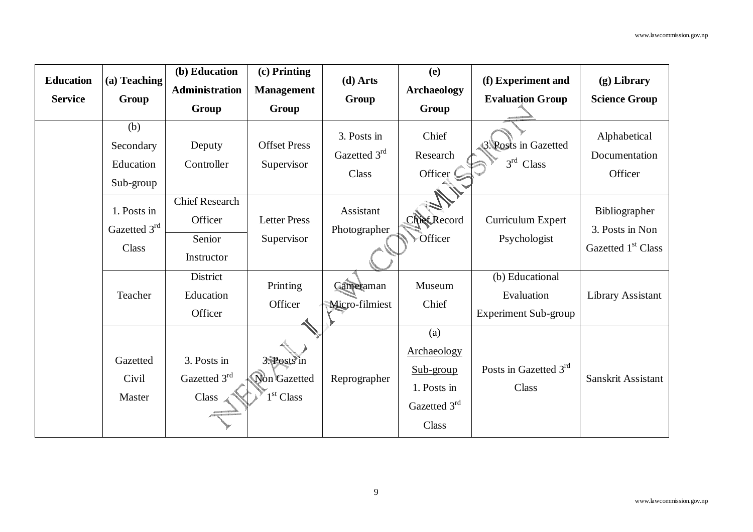| <b>Education</b><br><b>Service</b> | (a) Teaching<br>Group                       | (b) Education<br>Administration<br>Group                 | (c) Printing<br><b>Management</b><br>Group           | $(d)$ Arts<br>Group                  | (e)<br><b>Archaeology</b><br>Group                                      | (f) Experiment and<br><b>Evaluation Group</b>                | $(g)$ Library<br><b>Science Group</b>                              |
|------------------------------------|---------------------------------------------|----------------------------------------------------------|------------------------------------------------------|--------------------------------------|-------------------------------------------------------------------------|--------------------------------------------------------------|--------------------------------------------------------------------|
|                                    | (b)<br>Secondary<br>Education<br>Sub-group  | Deputy<br>Controller                                     | <b>Offset Press</b><br>Supervisor                    | 3. Posts in<br>Gazetted 3rd<br>Class | Chief<br>Research<br>Officer                                            | <b>3. Posts in Gazetted</b><br>$3rd$ Class                   | Alphabetical<br>Documentation<br>Officer                           |
|                                    | 1. Posts in<br>Gazetted 3rd<br><b>Class</b> | <b>Chief Research</b><br>Officer<br>Senior<br>Instructor | <b>Letter Press</b><br>Supervisor                    | Assistant<br>Photographer            | <b>Chief Record</b><br>Officer                                          | Curriculum Expert<br>Psychologist                            | Bibliographer<br>3. Posts in Non<br>Gazetted 1 <sup>st</sup> Class |
|                                    | Teacher                                     | District<br>Education<br>Officer                         | Printing<br>Officer                                  | Cameraman<br>Micro-filmiest          | Museum<br>Chief                                                         | (b) Educational<br>Evaluation<br><b>Experiment Sub-group</b> | Library Assistant                                                  |
|                                    | Gazetted<br>Civil<br>Master                 | 3. Posts in<br>Gazetted 3rd<br>Class                     | 3. Posts in<br>Non Gazetted<br>1 <sup>st</sup> Class | Reprographer                         | (a)<br>Archaeology<br>Sub-group<br>1. Posts in<br>Gazetted 3rd<br>Class | Posts in Gazetted 3rd<br>Class                               | Sanskrit Assistant                                                 |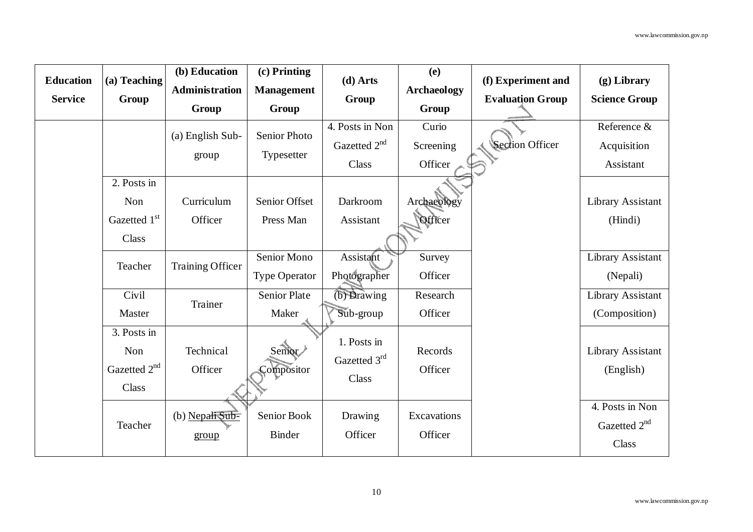| <b>Education</b><br><b>Service</b> | (a) Teaching<br>Group                                   | (b) Education<br><b>Administration</b><br>Group | (c) Printing<br><b>Management</b><br>Group | $(d)$ Arts<br>Group                                  | (e)<br><b>Archaeology</b><br>Group | (f) Experiment and<br><b>Evaluation Group</b> | $(g)$ Library<br><b>Science Group</b>                |
|------------------------------------|---------------------------------------------------------|-------------------------------------------------|--------------------------------------------|------------------------------------------------------|------------------------------------|-----------------------------------------------|------------------------------------------------------|
|                                    |                                                         | (a) English Sub-<br>group                       | <b>Senior Photo</b><br>Typesetter          | 4. Posts in Non<br>Gazetted 2 <sup>nd</sup><br>Class | Curio<br>Screening<br>Officer      | <b>Section Officer</b>                        | Reference &<br>Acquisition<br>Assistant              |
|                                    | 2. Posts in<br>Non<br>Gazetted 1st<br>Class             | Curriculum<br>Officer                           | Senior Offset<br>Press Man                 | Darkroom<br>Assistant                                | Archaeology<br>Officer             |                                               | Library Assistant<br>(Hindi)                         |
|                                    | Teacher                                                 | <b>Training Officer</b>                         | Senior Mono<br><b>Type Operator</b>        | Assistant<br>Photographer                            | Survey<br>Officer                  |                                               | Library Assistant<br>(Nepali)                        |
|                                    | Civil<br>Master                                         | Trainer                                         | <b>Senior Plate</b><br>Maker               | $(b)$ Drawing<br>Sub-group                           | Research<br>Officer                |                                               | Library Assistant<br>(Composition)                   |
|                                    | 3. Posts in<br>Non<br>Gazetted 2 <sup>nd</sup><br>Class | Technical<br>Officer                            | Senior<br>Compositor                       | 1. Posts in<br>Gazetted 3rd<br>Class                 | Records<br>Officer                 |                                               | Library Assistant<br>(English)                       |
|                                    | Teacher                                                 | (b) Nepali Sub-<br>group                        | Senior Book<br><b>Binder</b>               | Drawing<br>Officer                                   | Excavations<br>Officer             |                                               | 4. Posts in Non<br>Gazetted 2 <sup>nd</sup><br>Class |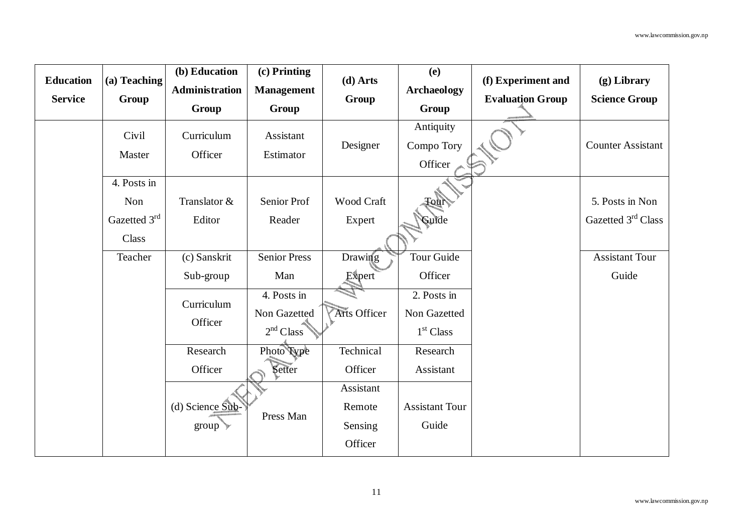| <b>Education</b><br><b>Service</b> | (a) Teaching<br>Group                       | (b) Education<br><b>Administration</b>                              | (c) Printing<br><b>Management</b>                                                  | $(d)$ Arts<br>Group                                               | (e)<br><b>Archaeology</b>                                                            | (f) Experiment and<br><b>Evaluation Group</b> | $(g)$ Library<br><b>Science Group</b>             |
|------------------------------------|---------------------------------------------|---------------------------------------------------------------------|------------------------------------------------------------------------------------|-------------------------------------------------------------------|--------------------------------------------------------------------------------------|-----------------------------------------------|---------------------------------------------------|
|                                    |                                             | Group                                                               | Group                                                                              |                                                                   | Group                                                                                |                                               |                                                   |
|                                    | Civil<br>Master                             | Curriculum<br>Officer                                               | Assistant<br>Estimator                                                             | Designer                                                          | Antiquity<br>Compo Tory<br>Officer                                                   |                                               | <b>Counter Assistant</b>                          |
|                                    | 4. Posts in<br>Non<br>Gazetted 3rd<br>Class | Translator &<br>Editor                                              | Senior Prof<br>Reader                                                              | Wood Craft<br>Expert                                              | <b>Tour</b><br>Guide                                                                 |                                               | 5. Posts in Non<br>Gazetted 3 <sup>rd</sup> Class |
|                                    | Teacher                                     | (c) Sanskrit<br>Sub-group<br>Curriculum<br>Officer                  | <b>Senior Press</b><br>Man<br>4. Posts in<br>Non Gazetted<br>2 <sup>nd</sup> Class | Drawing<br>Expert<br><b>Arts Officer</b>                          | <b>Tour Guide</b><br>Officer<br>2. Posts in<br>Non Gazetted<br>1 <sup>st</sup> Class |                                               | <b>Assistant Tour</b><br>Guide                    |
|                                    |                                             | Research<br>Officer<br>(d) Science $Sub$ -<br>$group$ $\rightarrow$ | Photo Type<br>Setter<br>Press Man                                                  | Technical<br>Officer<br>Assistant<br>Remote<br>Sensing<br>Officer | Research<br>Assistant<br><b>Assistant Tour</b><br>Guide                              |                                               |                                                   |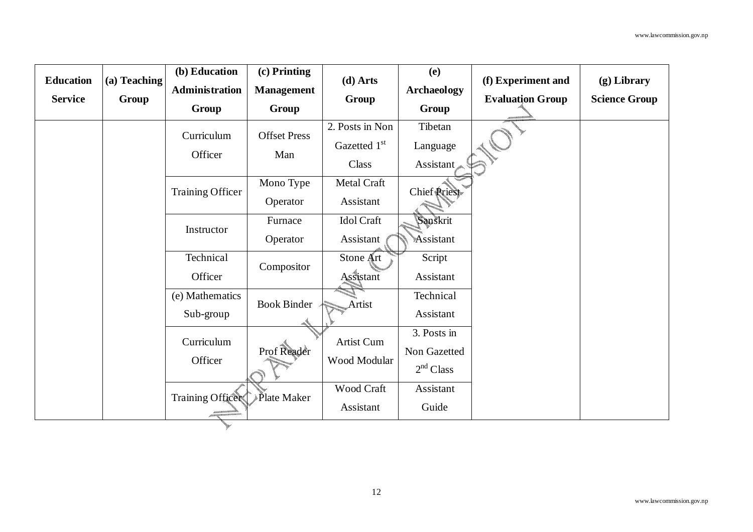| <b>Education</b> | (a) Teaching | (b) Education    | (c) Printing        | $(d)$ Arts      | (e)                   | (f) Experiment and      | $(g)$ Library        |
|------------------|--------------|------------------|---------------------|-----------------|-----------------------|-------------------------|----------------------|
|                  |              | Administration   | <b>Management</b>   |                 | <b>Archaeology</b>    |                         |                      |
| <b>Service</b>   | Group        | Group            | Group               | Group           | Group                 | <b>Evaluation Group</b> | <b>Science Group</b> |
|                  |              | Curriculum       | <b>Offset Press</b> | 2. Posts in Non | Tibetan               |                         |                      |
|                  |              | Officer          | Man                 | Gazetted 1st    | Language              |                         |                      |
|                  |              |                  |                     | Class           | <b>Assistant</b>      |                         |                      |
|                  |              | Training Officer | Mono Type           | Metal Craft     | Chief <b>Rriest</b>   |                         |                      |
|                  |              |                  | Operator            | Assistant       |                       |                         |                      |
|                  |              | Instructor       | Furnace             | Idol Craft      | Sanskrit              |                         |                      |
|                  |              |                  | Operator            | Assistant       | Assistant             |                         |                      |
|                  |              | Technical        | Compositor          | Stone Art       | Script                |                         |                      |
|                  |              | Officer          |                     | Assistant       | Assistant             |                         |                      |
|                  |              | (e) Mathematics  | <b>Book Binder</b>  | Artist          | Technical             |                         |                      |
|                  |              | Sub-group        |                     |                 | Assistant             |                         |                      |
|                  |              | Curriculum       |                     | Artist Cum      | 3. Posts in           |                         |                      |
|                  |              | Officer          | Prof Reader         | Wood Modular    | Non Gazetted          |                         |                      |
|                  |              |                  |                     |                 | 2 <sup>nd</sup> Class |                         |                      |
|                  |              | Training Office  | ≱Plate Maker        | Wood Craft      | Assistant             |                         |                      |
|                  |              |                  |                     | Assistant       | Guide                 |                         |                      |
|                  |              |                  |                     |                 |                       |                         |                      |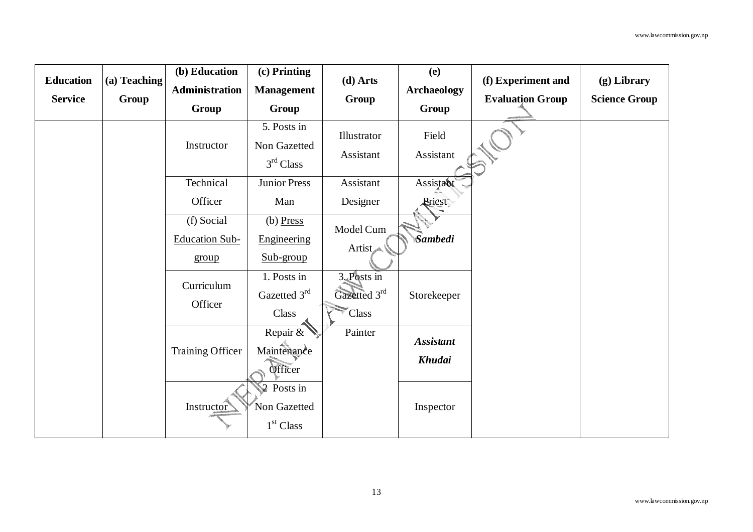| <b>Education</b> | (a) Teaching | (b) Education           | (c) Printing                                                    | (d) Arts                      | (e)                | (f) Experiment and      | (g) Library          |
|------------------|--------------|-------------------------|-----------------------------------------------------------------|-------------------------------|--------------------|-------------------------|----------------------|
| <b>Service</b>   | Group        | Administration          | <b>Management</b>                                               | Group                         | <b>Archaeology</b> | <b>Evaluation Group</b> | <b>Science Group</b> |
|                  |              | Group                   | Group                                                           |                               | Group              |                         |                      |
|                  |              | Instructor              | 5. Posts in<br>Non Gazetted                                     | Illustrator                   | Field              |                         |                      |
|                  |              |                         | 3 <sup>rd</sup> Class                                           | Assistant                     | Assistant          |                         |                      |
|                  |              | Technical               | Junior Press                                                    | Assistant                     | Assistant          |                         |                      |
|                  |              | Officer                 | Man                                                             | Designer                      | Priest             |                         |                      |
|                  |              | (f) Social              | $(b)$ Press                                                     | Model Cum                     |                    |                         |                      |
|                  |              | <b>Education Sub-</b>   | Engineering                                                     | Artist                        | <b>Sambedi</b>     |                         |                      |
|                  |              | group                   | Sub-group                                                       |                               |                    |                         |                      |
|                  |              | Curriculum              | 1. Posts in<br>Gazetted 3rd                                     | $3.$ Posts in<br>Gazetted 3rd |                    |                         |                      |
|                  |              | Officer                 | Class                                                           | Class                         | Storekeeper        |                         |                      |
|                  |              | <b>Training Officer</b> | Repair &<br>Maintenance                                         | Painter                       | <b>Assistant</b>   |                         |                      |
|                  |              |                         | Officer                                                         |                               | Khudai             |                         |                      |
|                  |              | Instructor              | $\mathcal{L}$ Posts in<br>Non Gazetted<br>1 <sup>st</sup> Class |                               | Inspector          |                         |                      |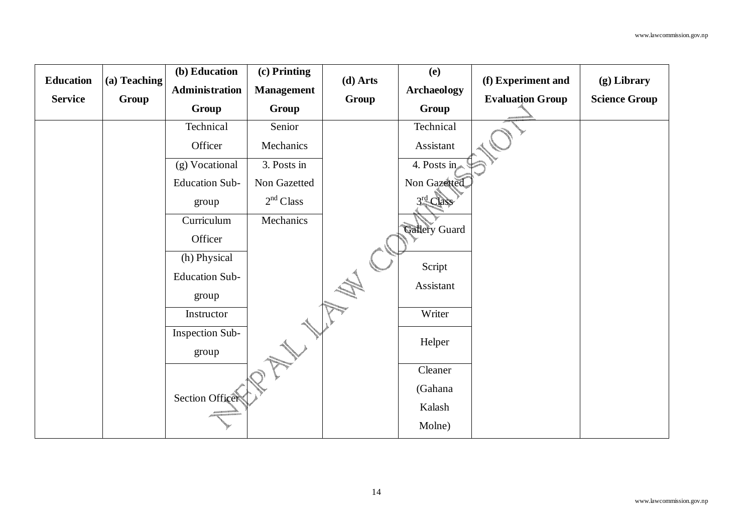|                  |              | (b) Education         | (c) Printing          |          | (e)                |                         |                      |
|------------------|--------------|-----------------------|-----------------------|----------|--------------------|-------------------------|----------------------|
| <b>Education</b> | (a) Teaching | Administration        | <b>Management</b>     | (d) Arts | <b>Archaeology</b> | (f) Experiment and      | (g) Library          |
| <b>Service</b>   | Group        | Group                 | Group                 | Group    | Group              | <b>Evaluation Group</b> | <b>Science Group</b> |
|                  |              | Technical             | Senior                |          | Technical          |                         |                      |
|                  |              | Officer               | Mechanics             |          | Assistant          |                         |                      |
|                  |              | (g) Vocational        | 3. Posts in           |          | 4. Posts in        |                         |                      |
|                  |              | <b>Education Sub-</b> | Non Gazetted          |          | Non Gazetted       |                         |                      |
|                  |              | group                 | 2 <sup>nd</sup> Class |          | $3rd$ Class        |                         |                      |
|                  |              | Curriculum            | Mechanics             |          | Gallery Guard      |                         |                      |
|                  |              | Officer               |                       |          |                    |                         |                      |
|                  |              | (h) Physical          |                       |          | Script             |                         |                      |
|                  |              | <b>Education Sub-</b> |                       |          | Assistant          |                         |                      |
|                  |              | group                 |                       |          |                    |                         |                      |
|                  |              | Instructor            |                       |          | Writer             |                         |                      |
|                  |              | Inspection Sub-       |                       |          | Helper             |                         |                      |
|                  |              | group                 |                       |          |                    |                         |                      |
|                  |              |                       |                       |          | Cleaner            |                         |                      |
|                  |              | Section Officer       |                       |          | (Gahana            |                         |                      |
|                  |              |                       |                       |          | Kalash             |                         |                      |
|                  |              |                       |                       |          | Molne)             |                         |                      |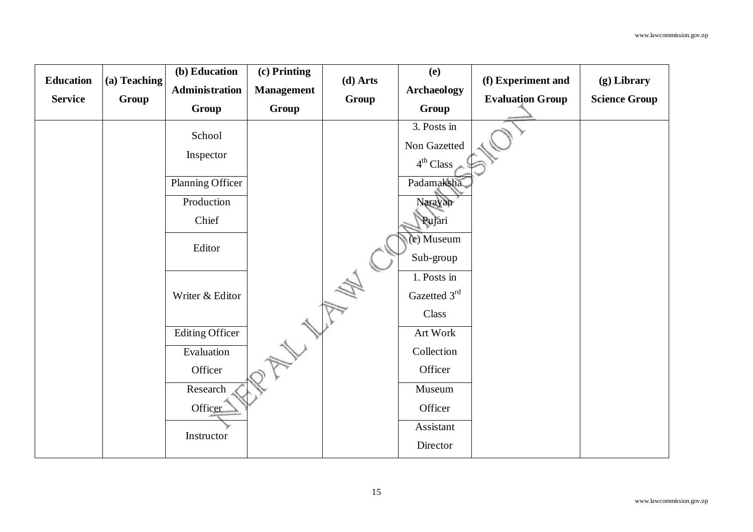| <b>Education</b> | (a) Teaching | (b) Education<br>Administration | (c) Printing<br><b>Management</b> | (d) Arts | (e)<br><b>Archaeology</b>                            | (f) Experiment and      | $(g)$ Library        |
|------------------|--------------|---------------------------------|-----------------------------------|----------|------------------------------------------------------|-------------------------|----------------------|
| <b>Service</b>   | Group        | Group                           | Group                             | Group    | Group                                                | <b>Evaluation Group</b> | <b>Science Group</b> |
|                  |              | School<br>Inspector             |                                   |          | 3. Posts in<br>Non Gazetted<br>4 <sup>th</sup> Class |                         |                      |
|                  |              | Planning Officer                |                                   |          | Padamaksha                                           |                         |                      |
|                  |              | Production<br>Chief             |                                   |          | Narayan<br>Pujari                                    |                         |                      |
|                  |              | Editor                          |                                   |          | (c) Museum<br>Sub-group                              |                         |                      |
|                  |              | Writer & Editor                 |                                   |          | 1. Posts in<br>Gazetted 3rd<br>Class                 |                         |                      |
|                  |              | <b>Editing Officer</b>          |                                   |          | Art Work                                             |                         |                      |
|                  |              | Evaluation                      |                                   |          | Collection                                           |                         |                      |
|                  |              | Officer                         |                                   |          | Officer                                              |                         |                      |
|                  |              | Research                        |                                   |          | Museum                                               |                         |                      |
|                  |              | Officer                         |                                   |          | Officer                                              |                         |                      |
|                  |              | Instructor                      |                                   |          | Assistant                                            |                         |                      |
|                  |              |                                 |                                   |          | Director                                             |                         |                      |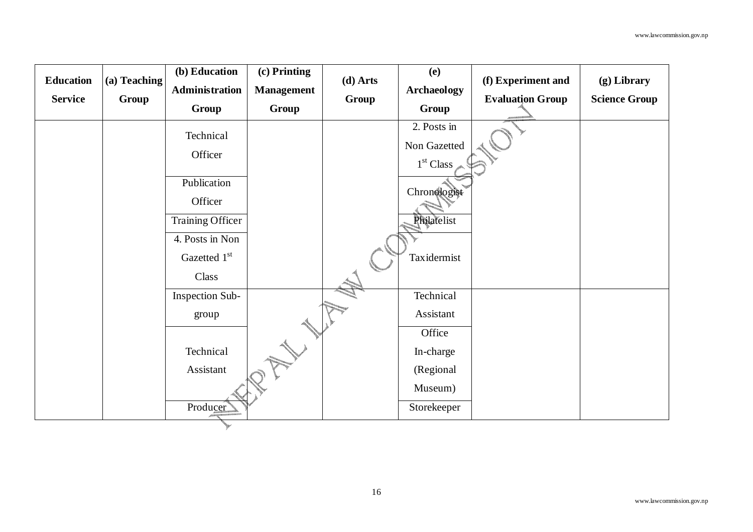| <b>Education</b> | (a) Teaching | (b) Education    | (c) Printing      | (d) Arts | (e)                   | (f) Experiment and      | (g) Library          |
|------------------|--------------|------------------|-------------------|----------|-----------------------|-------------------------|----------------------|
|                  |              | Administration   | <b>Management</b> |          | <b>Archaeology</b>    |                         |                      |
| <b>Service</b>   | Group        | Group            | Group             | Group    | Group                 | <b>Evaluation Group</b> | <b>Science Group</b> |
|                  |              | Technical        |                   |          | 2. Posts in           |                         |                      |
|                  |              | Officer          |                   |          | Non Gazetted          |                         |                      |
|                  |              |                  |                   |          | 1 <sup>st</sup> Class |                         |                      |
|                  |              | Publication      |                   |          | Chronologist          |                         |                      |
|                  |              | Officer          |                   |          |                       |                         |                      |
|                  |              | Training Officer |                   |          | Philatelist           |                         |                      |
|                  |              | 4. Posts in Non  |                   |          |                       |                         |                      |
|                  |              | Gazetted 1st     |                   |          | Taxidermist           |                         |                      |
|                  |              | Class            |                   |          |                       |                         |                      |
|                  |              | Inspection Sub-  |                   |          | Technical             |                         |                      |
|                  |              | group            |                   |          | Assistant             |                         |                      |
|                  |              |                  |                   |          | Office                |                         |                      |
|                  |              | Technical        |                   |          | In-charge             |                         |                      |
|                  |              | Assistant        |                   |          | (Regional             |                         |                      |
|                  |              |                  |                   |          | Museum)               |                         |                      |
|                  |              | Producer         |                   |          | Storekeeper           |                         |                      |
|                  |              |                  |                   |          |                       |                         |                      |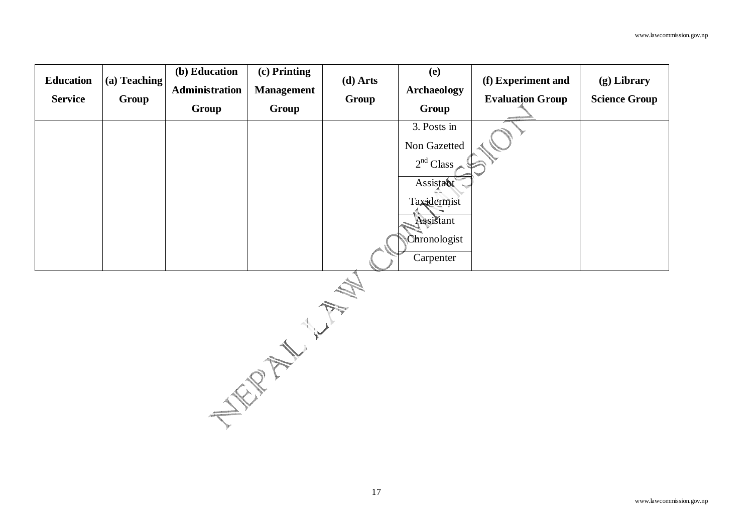| <b>Education</b><br><b>Service</b> | (a) Teaching<br>Group | (b) Education<br>Administration<br>Group | $(c)$ Printing<br><b>Management</b><br>Group | $(d)$ Arts<br>Group | (e)<br><b>Archaeology</b><br>Group                                                                                         | (f) Experiment and<br><b>Evaluation Group</b><br>ACCOMMODATION | $(g)$ Library<br><b>Science Group</b> |
|------------------------------------|-----------------------|------------------------------------------|----------------------------------------------|---------------------|----------------------------------------------------------------------------------------------------------------------------|----------------------------------------------------------------|---------------------------------------|
|                                    |                       |                                          |                                              |                     | 3. Posts in<br>Non Gazetted<br>2 <sup>nd</sup> Class<br>Assistant<br>Taxidermist<br>Assistant<br>Chronologist<br>Carpenter |                                                                |                                       |

NEW YORK WITH MAN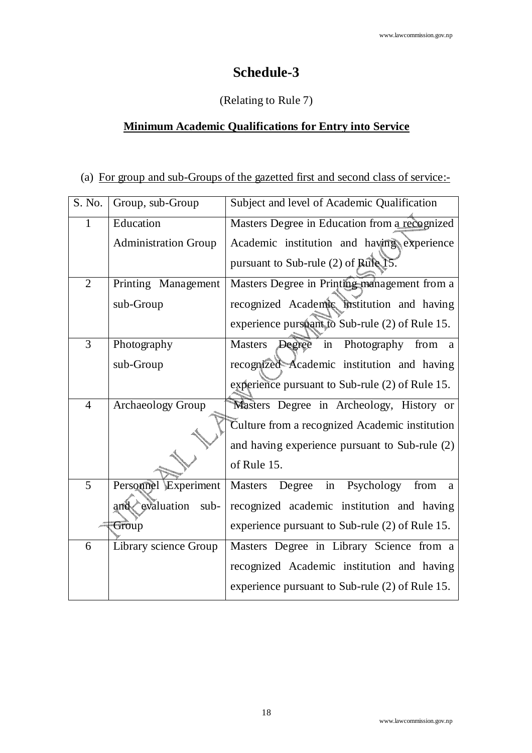## **Schedule-3**

### (Relating to Rule 7)

## **Minimum Academic Qualifications for Entry into Service**

#### (a) For group and sub-Groups of the gazetted first and second class of service:-

| S. No.         | Group, sub-Group            | Subject and level of Academic Qualification        |
|----------------|-----------------------------|----------------------------------------------------|
|                | Education                   | Masters Degree in Education from a recognized      |
|                | <b>Administration Group</b> | Academic institution and having experience         |
|                |                             | pursuant to Sub-rule (2) of Rule                   |
| $\overline{2}$ | Printing Management         | Masters Degree in Printing management from a       |
|                | sub-Group                   | recognized Academic institution and having         |
|                |                             | experience pursuant to Sub-rule (2) of Rule 15.    |
| 3              | Photography                 | Masters Degree in Photography from a               |
|                | sub-Group                   | recognized Academic institution and having         |
|                |                             | experience pursuant to Sub-rule (2) of Rule 15.    |
| $\overline{4}$ | <b>Archaeology Group</b>    | Masters Degree in Archeology, History or           |
|                |                             | Culture from a recognized Academic institution     |
|                |                             | and having experience pursuant to Sub-rule (2)     |
|                |                             | of Rule 15.                                        |
| 5              | Personnel Experiment        | Masters<br>Degree<br>in<br>Psychology<br>from<br>a |
|                | evaluation<br>sub-<br>and   | recognized academic institution and having         |
|                | Group                       | experience pursuant to Sub-rule (2) of Rule 15.    |
| 6              | Library science Group       | Masters Degree in Library Science from a           |
|                |                             | recognized Academic institution and having         |
|                |                             | experience pursuant to Sub-rule (2) of Rule 15.    |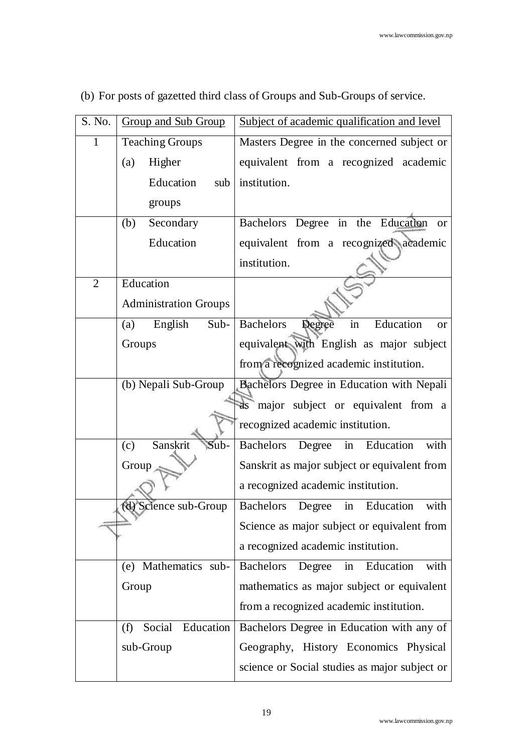| S. No.         | Subject of academic qualification and level<br><b>Group and Sub Group</b> |                                                            |
|----------------|---------------------------------------------------------------------------|------------------------------------------------------------|
| 1              | <b>Teaching Groups</b>                                                    | Masters Degree in the concerned subject or                 |
|                | Higher<br>(a)                                                             | equivalent from a recognized academic                      |
|                | Education<br>sub                                                          | institution.                                               |
|                | groups                                                                    |                                                            |
|                | Secondary<br>(b)                                                          | Bachelors Degree in the Education<br><sub>or</sub>         |
|                | Education                                                                 | equivalent from a recognized academic                      |
|                |                                                                           | institution.                                               |
| $\overline{2}$ | Education                                                                 |                                                            |
|                | <b>Administration Groups</b>                                              |                                                            |
|                | English<br>Sub-<br>(a)                                                    | <b>Bachelors</b><br>Education<br>Degree<br>in<br><b>or</b> |
|                | Groups                                                                    | equivalent with English as major subject                   |
|                |                                                                           | from a recognized academic institution.                    |
|                | (b) Nepali Sub-Group                                                      | Bachelors Degree in Education with Nepali                  |
|                |                                                                           | as major subject or equivalent from a                      |
|                |                                                                           | recognized academic institution.                           |
|                | Sanskrit<br>$\mathbb{S}$ ub-<br>(c)                                       | Bachelors Degree in<br>Education<br>with                   |
|                | Group                                                                     | Sanskrit as major subject or equivalent from               |
|                |                                                                           | a recognized academic institution.                         |
|                | (d) Science sub-Group                                                     | Bachelors Degree<br>Education<br>in<br>with                |
|                |                                                                           | Science as major subject or equivalent from                |
|                |                                                                           | a recognized academic institution.                         |
|                | Mathematics sub-<br>(e)                                                   | Education<br><b>Bachelors</b><br>with<br>Degree<br>in      |
|                | Group                                                                     | mathematics as major subject or equivalent                 |
|                |                                                                           | from a recognized academic institution.                    |
|                | Education<br>Social<br>(f)                                                | Bachelors Degree in Education with any of                  |
|                | sub-Group                                                                 | Geography, History Economics Physical                      |
|                |                                                                           | science or Social studies as major subject or              |
|                |                                                                           |                                                            |

(b) For posts of gazetted third class of Groups and Sub-Groups of service.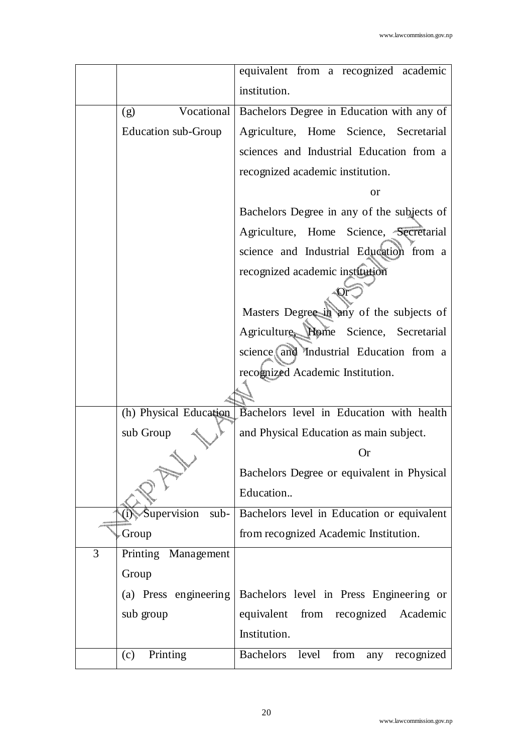|                          | equivalent from a recognized academic                  |
|--------------------------|--------------------------------------------------------|
|                          | institution.                                           |
| Vocational<br>(g)        | Bachelors Degree in Education with any of              |
| Education sub-Group      | Agriculture, Home Science, Secretarial                 |
|                          | sciences and Industrial Education from a               |
|                          | recognized academic institution.                       |
|                          | <b>or</b>                                              |
|                          | Bachelors Degree in any of the subjects of             |
|                          | Agriculture, Home Science, Secretarial                 |
|                          | science and Industrial Education from a                |
|                          | recognized academic institution                        |
|                          |                                                        |
|                          | Masters Degree in any of the subjects of               |
|                          | Agriculture Plome Science, Secretarial                 |
|                          | science and Industrial Education from a                |
|                          | recognized Academic Institution.                       |
|                          |                                                        |
| (h) Physical Education   | Bachelors level in Education with health               |
| sub Group                | and Physical Education as main subject.                |
|                          | Or                                                     |
|                          | Bachelors Degree or equivalent in Physical             |
|                          | Education                                              |
| Supervision sub-         | Bachelors level in Education or equivalent             |
| Group                    | from recognized Academic Institution.                  |
| 3<br>Printing Management |                                                        |
| Group                    |                                                        |
| (a) Press engineering    | Bachelors level in Press Engineering or                |
| sub group                | equivalent<br>from recognized Academic                 |
|                          | Institution.                                           |
| Printing<br>(c)          | from<br><b>Bachelors</b><br>level<br>recognized<br>any |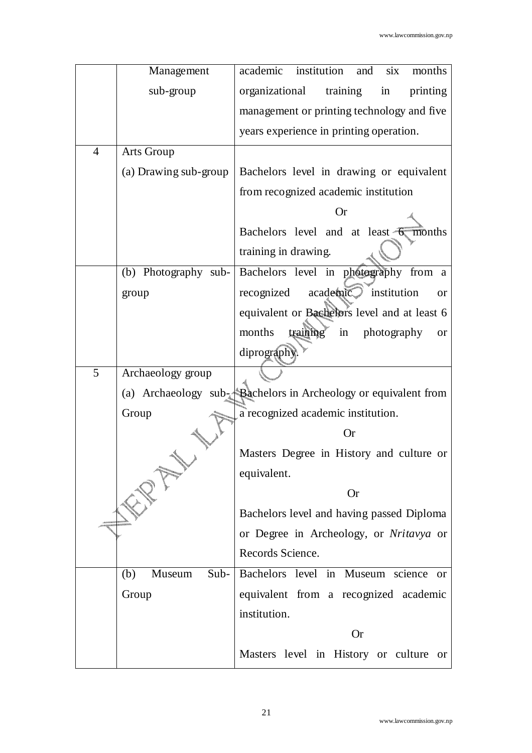|                | Management            | institution<br>academic<br>and<br>six<br>months                                |  |  |  |  |
|----------------|-----------------------|--------------------------------------------------------------------------------|--|--|--|--|
|                | sub-group             | organizational<br>training<br>in<br>printing                                   |  |  |  |  |
|                |                       | management or printing technology and five                                     |  |  |  |  |
|                |                       | years experience in printing operation.                                        |  |  |  |  |
| $\overline{4}$ | Arts Group            |                                                                                |  |  |  |  |
|                | (a) Drawing sub-group | Bachelors level in drawing or equivalent                                       |  |  |  |  |
|                |                       | from recognized academic institution                                           |  |  |  |  |
|                |                       | <b>Or</b>                                                                      |  |  |  |  |
|                |                       | Bachelors level and at least $\overline{6}$ months                             |  |  |  |  |
|                |                       | training in drawing.                                                           |  |  |  |  |
|                | (b) Photography sub-  | Bachelors level in photography from a                                          |  |  |  |  |
|                | group                 | academic<br>recognized<br>institution<br><b>or</b>                             |  |  |  |  |
|                |                       | equivalent or Bachelors level and at least 6                                   |  |  |  |  |
|                |                       | training<br>months<br>in<br>photography<br><b>or</b>                           |  |  |  |  |
|                |                       | diprography.                                                                   |  |  |  |  |
| 5              | Archaeology group     |                                                                                |  |  |  |  |
|                |                       | (a) Archaeology $sub_{\rightarrow}$ Bachelors in Archeology or equivalent from |  |  |  |  |
|                | Group                 | a recognized academic institution.                                             |  |  |  |  |
|                |                       | <b>Or</b>                                                                      |  |  |  |  |
|                |                       | Masters Degree in History and culture or                                       |  |  |  |  |
|                |                       | equivalent.                                                                    |  |  |  |  |
|                |                       | <b>Or</b>                                                                      |  |  |  |  |
|                |                       | Bachelors level and having passed Diploma                                      |  |  |  |  |
|                |                       | or Degree in Archeology, or Nritavya or                                        |  |  |  |  |
|                |                       | Records Science.                                                               |  |  |  |  |
|                | Museum<br>(b)         | Sub- Bachelors level in Museum science<br><sub>or</sub>                        |  |  |  |  |
|                | Group                 | equivalent from a recognized academic                                          |  |  |  |  |
|                |                       | institution.                                                                   |  |  |  |  |
|                |                       | <b>Or</b>                                                                      |  |  |  |  |
|                |                       | Masters level in History or culture or                                         |  |  |  |  |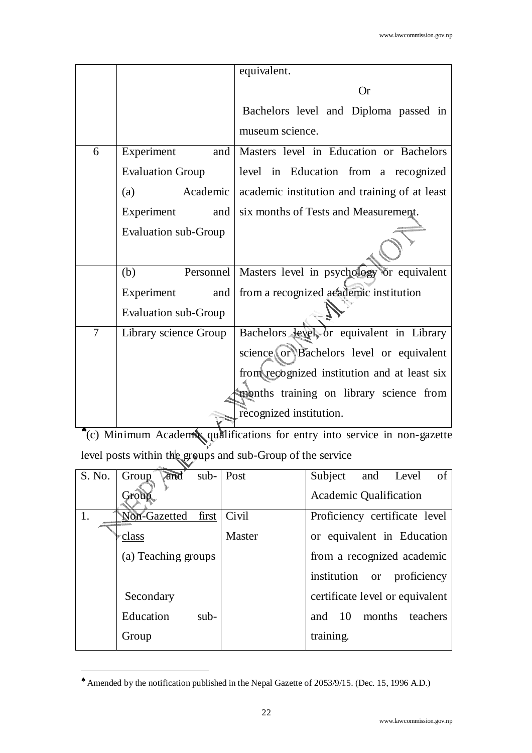|                |                             | equivalent.                                   |
|----------------|-----------------------------|-----------------------------------------------|
|                |                             | <b>Or</b>                                     |
|                |                             | Bachelors level and Diploma passed in         |
|                |                             | museum science.                               |
| 6              | Experiment<br>and           | Masters level in Education or Bachelors       |
|                | <b>Evaluation Group</b>     | level in Education from a recognized          |
|                | (a)<br>Academic             | academic institution and training of at least |
|                | Experiment<br>and           | six months of Tests and Measurement.          |
|                | <b>Evaluation sub-Group</b> |                                               |
|                |                             |                                               |
|                | (b)<br>Personnel            | Masters level in psychology or equivalent     |
|                | Experiment<br>and           | from a recognized academic institution        |
|                | <b>Evaluation sub-Group</b> |                                               |
| $\overline{7}$ | Library science Group       | Bachelors level or equivalent in Library      |
|                |                             | science or Bachelors level or equivalent      |
|                |                             | from recognized institution and at least six  |
|                |                             | months training on library science from       |
|                |                             | recognized institution.                       |

♠ (c) Minimum Academic qualifications for entry into service in non-gazette level posts within the groups and sub-Group of the service

| S. No. | and sub- Post<br>Group |        | Subject and Level<br>of         |
|--------|------------------------|--------|---------------------------------|
|        | Group                  |        | <b>Academic Qualification</b>   |
|        | Non-Gazetted<br>first  | Civil  | Proficiency certificate level   |
|        | class                  | Master | or equivalent in Education      |
|        | (a) Teaching groups    |        | from a recognized academic      |
|        |                        |        | institution or proficiency      |
|        | Secondary              |        | certificate level or equivalent |
|        | Education<br>$sub-$    |        | and 10 months teachers          |
|        | Group                  |        | training.                       |
|        |                        |        |                                 |

<sup>♠</sup> Amended by the notification published in the Nepal Gazette of 2053/9/15. (Dec. 15, 1996 A.D.)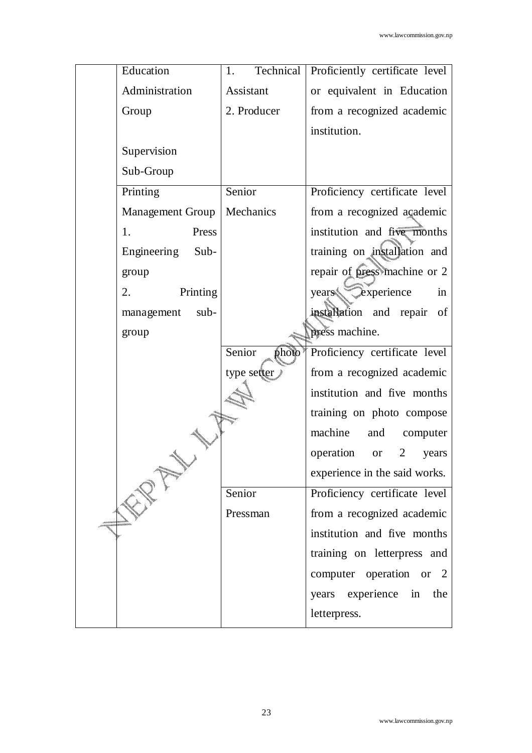| Education<br>Technical<br>1.         | Proficiently certificate level           |
|--------------------------------------|------------------------------------------|
| Administration<br>Assistant          | or equivalent in Education               |
| 2. Producer<br>Group                 | from a recognized academic               |
| institution.                         |                                          |
| Supervision                          |                                          |
| Sub-Group                            |                                          |
| Senior<br>Printing                   | Proficiency certificate level            |
| Mechanics<br><b>Management Group</b> | from a recognized academic               |
| 1.<br>Press                          | institution and five months              |
| Engineering<br>Sub-                  | training on installation and             |
| group                                | repair of press machine or 2             |
| Printing<br>2.<br>years              | Cexperience<br>in                        |
| $sub-$<br>management                 | installation and repair<br>of            |
| group                                | press machine.                           |
| Senior<br>photo                      | Proficiency certificate level            |
| type setter                          | from a recognized academic               |
|                                      | institution and five months              |
|                                      | training on photo compose                |
| machine                              | and computer                             |
| operation                            | $\overline{2}$<br><sub>or</sub><br>years |
|                                      | experience in the said works.            |
| Senior                               | Proficiency certificate level            |
| Pressman                             | from a recognized academic               |
|                                      | institution and five months              |
|                                      | training on letterpress and              |
|                                      | computer operation or 2                  |
|                                      | years experience in<br>the               |
|                                      |                                          |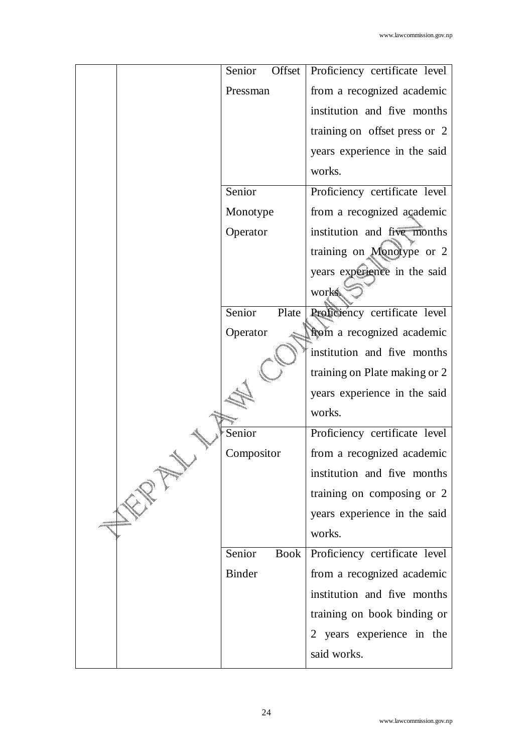| Senior<br>Offset      | Proficiency certificate level |
|-----------------------|-------------------------------|
| Pressman              | from a recognized academic    |
|                       | institution and five months   |
|                       | training on offset press or 2 |
|                       | years experience in the said  |
|                       | works.                        |
| Senior                | Proficiency certificate level |
| Monotype              | from a recognized academic    |
| Operator              | institution and five months   |
|                       | training on Monotype or 2     |
|                       | years experience in the said  |
|                       | works.                        |
| Senior<br>Plate       | Proficiency certificate level |
| Operator              | from a recognized academic    |
|                       | institution and five months   |
|                       | training on Plate making or 2 |
|                       | years experience in the said  |
|                       | works.                        |
| Senior                | Proficiency certificate level |
| Compositor            | from a recognized academic    |
|                       | institution and five months   |
|                       | training on composing or 2    |
|                       | years experience in the said  |
|                       | works.                        |
| Senior<br><b>Book</b> | Proficiency certificate level |
| <b>Binder</b>         | from a recognized academic    |
|                       | institution and five months   |
|                       | training on book binding or   |
|                       | 2 years experience in the     |
|                       | said works.                   |
|                       |                               |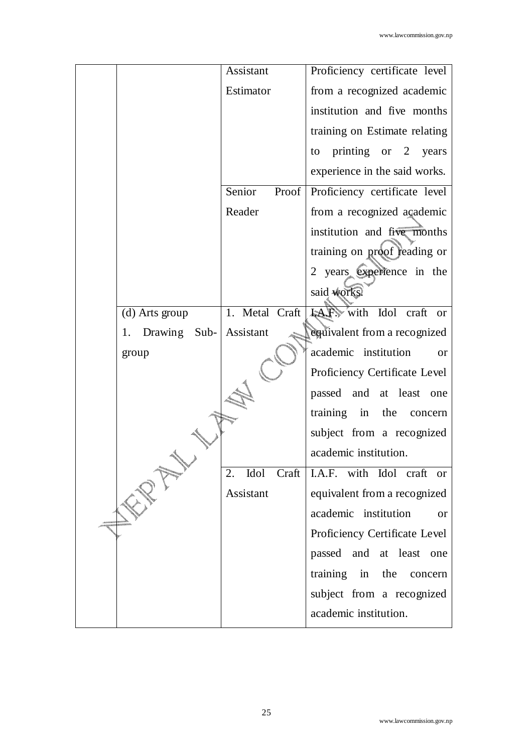|                    | Assistant       | Proficiency certificate level          |
|--------------------|-----------------|----------------------------------------|
|                    | Estimator       | from a recognized academic             |
|                    |                 | institution and five months            |
|                    |                 | training on Estimate relating          |
|                    |                 | printing or $2$<br>years<br>to         |
|                    |                 | experience in the said works.          |
|                    | Senior<br>Proof | Proficiency certificate level          |
|                    | Reader          | from a recognized academic             |
|                    |                 | institution and five months            |
|                    |                 | training on proof reading or           |
|                    |                 | 2 years experience in the              |
|                    |                 | said works.                            |
| (d) Arts group     | 1. Metal Craft  | <b>LAF</b> , with Idol craft or        |
| Drawing Sub-<br>1. | Assistant       | equivalent from a recognized           |
| group              |                 | academic institution<br>$\alpha$       |
|                    |                 | Proficiency Certificate Level          |
|                    |                 | passed and at least one                |
|                    |                 | training<br>in<br>the<br>concern       |
|                    |                 | subject from a recognized              |
|                    |                 | academic institution.                  |
|                    | 2.              | Idol Craft   I.A.F. with Idol craft or |
|                    | Assistant       | equivalent from a recognized           |
|                    |                 | academic institution<br>or             |
|                    |                 | Proficiency Certificate Level          |
|                    |                 | passed and at least one                |
|                    |                 | training in<br>the<br>concern          |
|                    |                 | subject from a recognized              |
|                    |                 | academic institution.                  |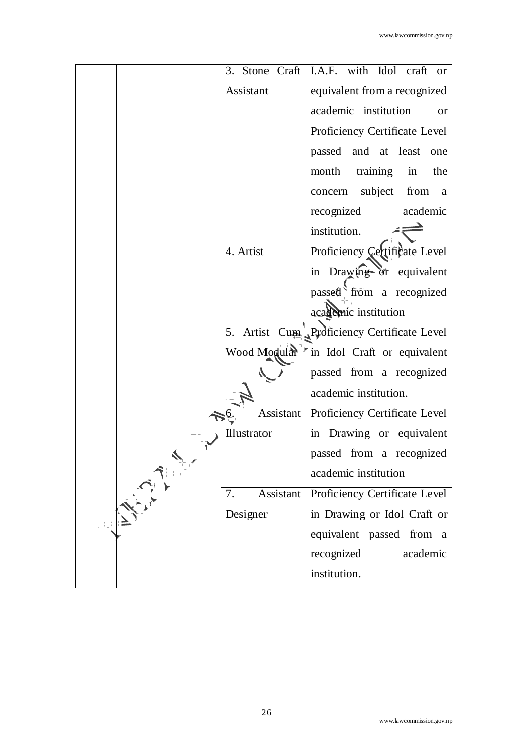|                        | 3. Stone Craft   I.A.F. with Idol craft or  |
|------------------------|---------------------------------------------|
| Assistant              | equivalent from a recognized                |
|                        | academic institution<br><b>or</b>           |
|                        | Proficiency Certificate Level               |
|                        | passed and at least<br>one                  |
|                        | training<br>month<br>in<br>the              |
|                        | concern subject from a                      |
|                        | recognized<br>açademic                      |
|                        | institution.                                |
| 4. Artist              | Proficiency Certificate Level               |
|                        | in Drawing or equivalent                    |
|                        | passed from a recognized                    |
|                        | academic institution                        |
|                        | 5. Artist Cum Proficiency Certificate Level |
| Wood Modular           | in Idol Craft or equivalent                 |
|                        | passed from a recognized                    |
|                        | academic institution.                       |
| <b>Assistant</b><br>6. | Proficiency Certificate Level               |
| Illustrator            | in Drawing or equivalent                    |
|                        | passed from a recognized                    |
|                        | academic institution                        |
| Assistant<br>7.        | Proficiency Certificate Level               |
| Designer               | in Drawing or Idol Craft or                 |
|                        | equivalent passed from a                    |
|                        | recognized<br>academic                      |
|                        | institution.                                |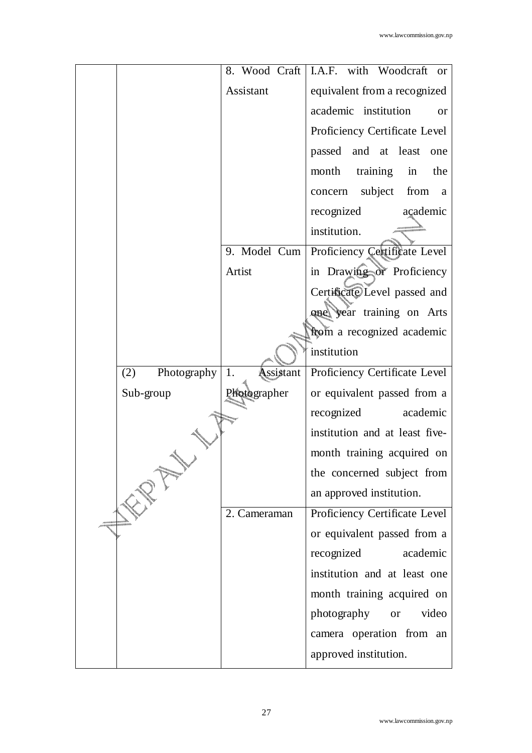|                    |                 | 8. Wood Craft   I.A.F. with Woodcraft or          |
|--------------------|-----------------|---------------------------------------------------|
|                    | Assistant       | equivalent from a recognized                      |
|                    |                 | academic institution<br>or                        |
|                    |                 | Proficiency Certificate Level                     |
|                    |                 | passed and at least<br>one                        |
|                    |                 |                                                   |
|                    |                 | training<br>month<br>in<br>the                    |
|                    |                 | concern subject from<br>a                         |
|                    |                 | recognized<br>açademic                            |
|                    |                 | institution.                                      |
|                    |                 | 9. Model Cum   Proficiency Certificate Level      |
|                    | Artist          | in Drawing or Proficiency                         |
|                    |                 | Certificate Level passed and                      |
|                    |                 | <b>quel</b> year training on Arts                 |
|                    |                 | from a recognized academic                        |
|                    |                 | institution                                       |
| Photography<br>(2) | Assistant<br>1. | Proficiency Certificate Level                     |
| Sub-group          | Photographer    | or equivalent passed from a                       |
|                    |                 | recognized<br>academic                            |
|                    |                 | institution and at least five-                    |
|                    |                 | month training acquired on                        |
|                    |                 |                                                   |
|                    |                 | the concerned subject from                        |
|                    |                 | an approved institution.                          |
|                    | 2. Cameraman    | Proficiency Certificate Level                     |
|                    |                 |                                                   |
|                    |                 | or equivalent passed from a<br>academic           |
|                    |                 | recognized                                        |
|                    |                 | institution and at least one                      |
|                    |                 | month training acquired on                        |
|                    |                 | photography<br>video<br><b>or</b>                 |
|                    |                 | camera operation from an<br>approved institution. |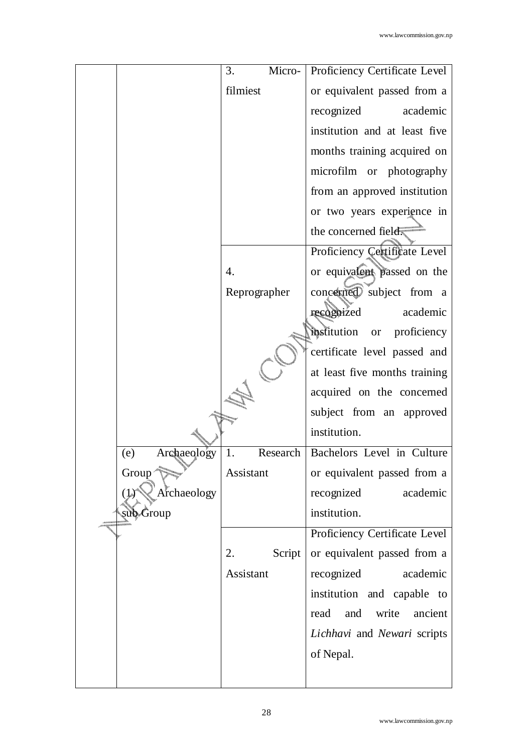|                    | Micro-<br>3.   | <b>Proficiency Certificate Level</b>    |
|--------------------|----------------|-----------------------------------------|
|                    | filmiest       | or equivalent passed from a             |
|                    |                | recognized<br>academic                  |
|                    |                | institution and at least five           |
|                    |                | months training acquired on             |
|                    |                | microfilm or photography                |
|                    |                | from an approved institution            |
|                    |                | or two years experience in              |
|                    |                | the concerned field.                    |
|                    |                | Proficiency Certificate Level           |
|                    | 4.             | or equivalent passed on the             |
|                    | Reprographer   | concerned subject from a                |
|                    |                | recognized<br>academic                  |
|                    |                | institution<br>proficiency<br><b>or</b> |
|                    |                | certificate level passed and            |
|                    |                | at least five months training           |
|                    |                | acquired on the concerned               |
|                    |                | subject from an approved                |
|                    |                | institution.                            |
| Archaeology<br>(e) | Research<br>1. | Bachelors Level in Culture              |
| Group <sup>-</sup> | Assistant      | or equivalent passed from a             |
| Archaeology        |                | recognized<br>academic                  |
| sub Group          |                | institution.                            |
|                    |                | Proficiency Certificate Level           |
|                    | Script<br>2.   | or equivalent passed from a             |
|                    | Assistant      | recognized<br>academic                  |
|                    |                | institution and capable to              |
|                    |                | write<br>ancient<br>read<br>and         |
|                    |                | Lichhavi and Newari scripts             |
|                    |                | of Nepal.                               |
|                    |                |                                         |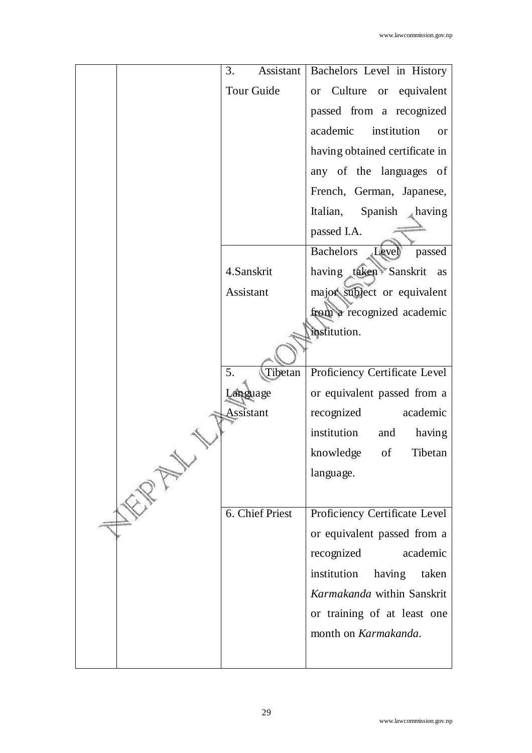| 3.              | Assistant   Bachelors Level in History |
|-----------------|----------------------------------------|
|                 |                                        |
| Tour Guide      | or Culture or equivalent               |
|                 | passed from a recognized               |
|                 | academic<br>institution<br><b>or</b>   |
|                 | having obtained certificate in         |
|                 | any of the languages of                |
|                 | French, German, Japanese,              |
|                 | Italian, Spanish $\triangle$ having    |
|                 | passed I.A.                            |
|                 | Bachelors<br>Level<br>passed           |
| 4.Sanskrit      | having taken Sanskrit as               |
| Assistant       | major subject or equivalent            |
|                 | from a recognized academic             |
|                 | institution.                           |
|                 |                                        |
| 5.<br>Tibetan   | Proficiency Certificate Level          |
| Language        | or equivalent passed from a            |
| Assistant       | academic<br>recognized                 |
|                 | institution<br>and<br>having           |
|                 | knowledge<br>of<br>Tibetan             |
|                 | language.                              |
|                 |                                        |
| 6. Chief Priest | Proficiency Certificate Level          |
|                 | or equivalent passed from a            |
|                 | academic<br>recognized                 |
|                 | institution<br>having<br>taken         |
|                 | Karmakanda within Sanskrit             |
|                 | or training of at least one            |
|                 | month on Karmakanda.                   |
|                 |                                        |
|                 |                                        |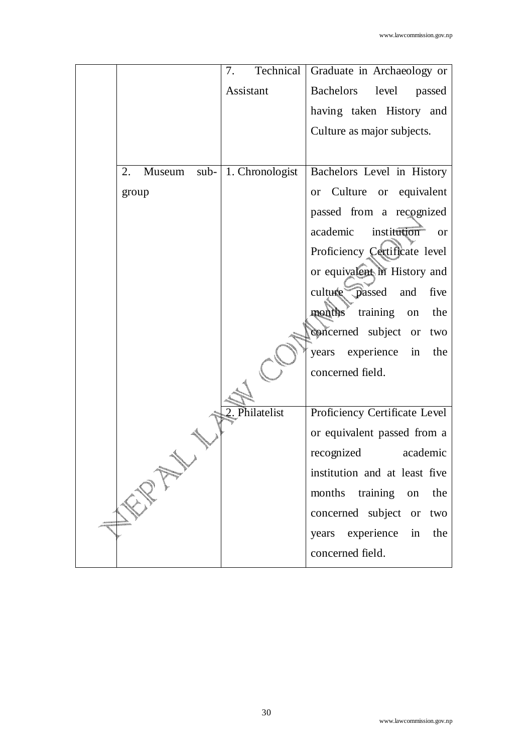|                   | 7.              | Technical Graduate in Archaeology or |
|-------------------|-----------------|--------------------------------------|
|                   | Assistant       | Bachelors<br>level<br>passed         |
|                   |                 | having taken History and             |
|                   |                 | Culture as major subjects.           |
|                   |                 |                                      |
| 2.<br>Museum sub- | 1. Chronologist | Bachelors Level in History           |
| group             |                 | Culture or equivalent<br><b>or</b>   |
|                   |                 | passed from a recognized             |
|                   |                 | academic<br>institution<br><b>or</b> |
|                   |                 | Proficiency Certificate level        |
|                   |                 | or equivalent in History and         |
|                   |                 | culture passed<br>five<br>and        |
|                   |                 | months training<br>the<br>on         |
|                   |                 | concerned subject or<br>two          |
|                   |                 | years experience in<br>the           |
|                   |                 | concerned field.                     |
|                   |                 |                                      |
|                   | 2. Philatelist  | Proficiency Certificate Level        |
|                   |                 | or equivalent passed from a          |
|                   |                 | recognized<br>academic               |
|                   |                 | institution and at least five        |
|                   |                 | months<br>training<br>on<br>the      |
|                   |                 | concerned subject or<br>two          |
|                   |                 | years experience<br>in<br>the        |
|                   |                 | concerned field.                     |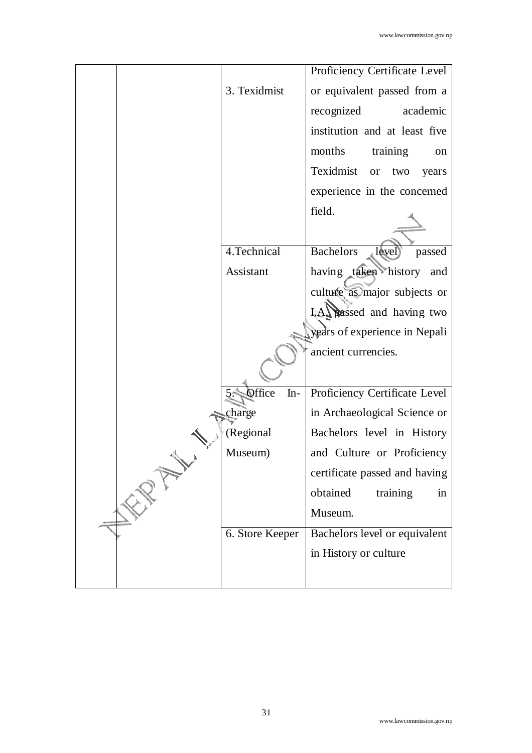|  |                 | Proficiency Certificate Level          |
|--|-----------------|----------------------------------------|
|  | 3. Texidmist    | or equivalent passed from a            |
|  |                 | recognized<br>academic                 |
|  |                 | institution and at least five          |
|  |                 | months<br>training<br>on               |
|  |                 | Texidmist<br>two<br><b>or</b><br>years |
|  |                 | experience in the concerned            |
|  |                 | field.                                 |
|  |                 |                                        |
|  | 4. Technical    | <b>Bachelors</b><br>passed<br>level)   |
|  | Assistant       | having taken history and               |
|  |                 | culture as major subjects or           |
|  |                 | <b>1.4.</b> passed and having two      |
|  |                 | years of experience in Nepali          |
|  |                 | ancient currencies.                    |
|  |                 |                                        |
|  | Office<br>$In-$ | Proficiency Certificate Level          |
|  | charge          | in Archaeological Science or           |
|  | (Regional       | Bachelors level in History             |
|  | Museum)         | and Culture or Proficiency             |
|  |                 | certificate passed and having          |
|  |                 | obtained<br>training<br>in             |
|  |                 | Museum.                                |
|  | 6. Store Keeper | Bachelors level or equivalent          |
|  |                 | in History or culture                  |
|  |                 |                                        |
|  |                 |                                        |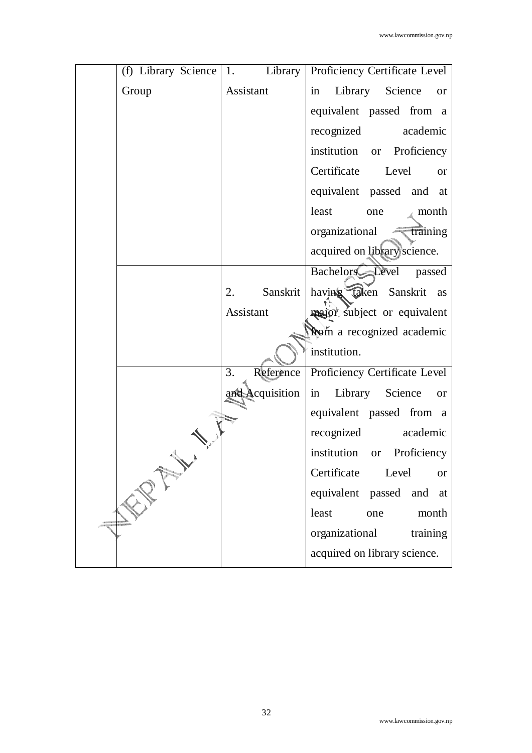|  |       |                                   | (f) Library Science   1. Library   Proficiency Certificate Level |
|--|-------|-----------------------------------|------------------------------------------------------------------|
|  |       |                                   |                                                                  |
|  | Group | Assistant                         | Library Science<br>in<br><b>or</b>                               |
|  |       |                                   | equivalent passed from a                                         |
|  |       |                                   | recognized<br>academic                                           |
|  |       |                                   | institution or Proficiency                                       |
|  |       |                                   | Certificate<br>Level<br><b>or</b>                                |
|  |       |                                   | equivalent passed and at                                         |
|  |       |                                   | least<br>month<br>one                                            |
|  |       |                                   | organizational<br>$\sqrt{\tan \theta}$                           |
|  |       |                                   | acquired on library science.                                     |
|  |       |                                   | Bachelors Level passed                                           |
|  |       | Sanskrit<br>2.                    | having taken Sanskrit as                                         |
|  |       | Assistant                         | major subject or equivalent                                      |
|  |       |                                   | from a recognized academic                                       |
|  |       |                                   | institution.                                                     |
|  |       | 3.<br>Reference                   | Proficiency Certificate Level                                    |
|  |       | and Acquisition                   | in Library<br>Science<br><b>or</b>                               |
|  |       |                                   | equivalent passed from a                                         |
|  |       |                                   | recognized academic                                              |
|  |       |                                   | institution<br>or Proficiency                                    |
|  |       | Certificate<br>Level<br><b>or</b> |                                                                  |
|  |       |                                   | equivalent passed and<br>at                                      |
|  |       |                                   | least<br>month<br>one                                            |
|  |       |                                   | organizational<br>training                                       |
|  |       |                                   | acquired on library science.                                     |
|  |       |                                   |                                                                  |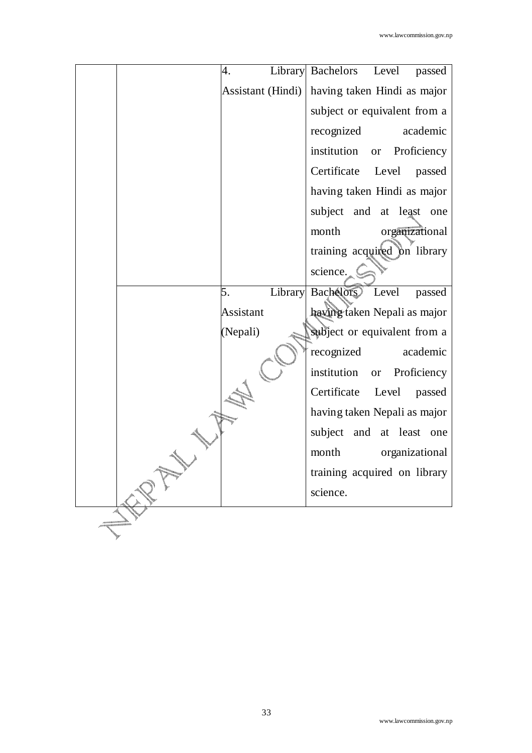| 4.                | Level<br>Library Bachelors<br>passed    |
|-------------------|-----------------------------------------|
| Assistant (Hindi) | having taken Hindi as major             |
|                   | subject or equivalent from a            |
|                   | recognized<br>academic                  |
|                   | institution<br>Proficiency<br><b>or</b> |
|                   | Certificate<br>Level<br>passed          |
|                   | having taken Hindi as major             |
|                   | subject and at least one                |
|                   | month<br>organizational                 |
|                   | training acquired on library            |
|                   | science.                                |
| 5.                | Library Bachelors Level<br>passed       |
| Assistant         | having taken Nepali as major            |
| (Nepali)          | subject or equivalent from a            |
|                   | recognized<br>academic                  |
|                   | institution<br>Proficiency<br><b>or</b> |
|                   | Certificate<br>Level<br>passed          |
|                   | having taken Nepali as major            |
|                   | subject and at least<br>one             |
|                   | organizational<br>month                 |
|                   | training acquired on library            |
|                   | science.                                |
|                   |                                         |
|                   |                                         |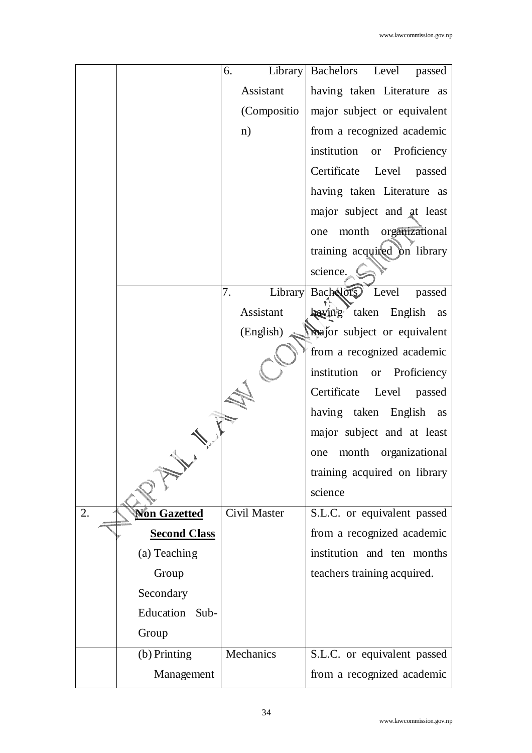|    |                      | 6.           | Library Bachelors Level passed    |
|----|----------------------|--------------|-----------------------------------|
|    |                      | Assistant    | having taken Literature as        |
|    |                      | (Compositio  | major subject or equivalent       |
|    |                      | n)           | from a recognized academic        |
|    |                      |              | institution or Proficiency        |
|    |                      |              | Certificate Level passed          |
|    |                      |              | having taken Literature as        |
|    |                      |              | major subject and at least        |
|    |                      |              | one month organizational          |
|    |                      |              | training acquired on library      |
|    |                      |              | science.                          |
|    |                      | 7.           | Library Bachelors Level<br>passed |
|    |                      | Assistant    | having taken English as           |
|    |                      | (English)    | major subject or equivalent       |
|    |                      |              | from a recognized academic        |
|    |                      |              | institution or Proficiency        |
|    |                      |              | Certificate Level passed          |
|    |                      |              | having taken English as           |
|    |                      |              | major subject and at least        |
|    |                      |              | month organizational<br>one       |
|    |                      |              | training acquired on library      |
|    |                      |              | science                           |
| 2. | <u> Non Gazetted</u> | Civil Master | S.L.C. or equivalent passed       |
|    | <b>Second Class</b>  |              | from a recognized academic        |
|    | (a) Teaching         |              | institution and ten months        |
|    | Group                |              | teachers training acquired.       |
|    | Secondary            |              |                                   |
|    | Education Sub-       |              |                                   |
|    | Group                |              |                                   |
|    | (b) Printing         | Mechanics    | S.L.C. or equivalent passed       |
|    | Management           |              | from a recognized academic        |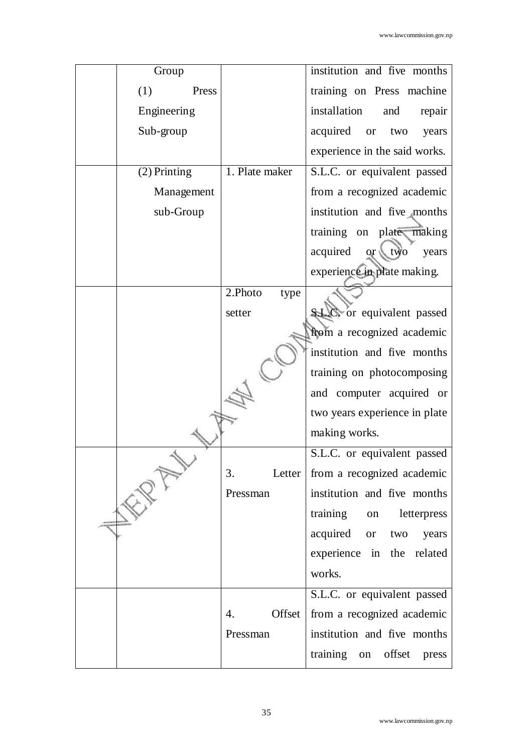| Group          | institution and five months                           |
|----------------|-------------------------------------------------------|
| (1)<br>Press   | training on Press machine                             |
| Engineering    | installation<br>and<br>repair                         |
| Sub-group      | acquired<br>two<br>years<br><b>or</b>                 |
|                | experience in the said works.                         |
| $(2)$ Printing | 1. Plate maker<br>S.L.C. or equivalent passed         |
| Management     | from a recognized academic                            |
| sub-Group      | institution and five months                           |
|                | training on plate making                              |
|                | $\sqrt{v}$<br>acquired<br>years<br>$\alpha \setminus$ |
|                | experience in plate making.                           |
| 2.Photo        | type                                                  |
| setter         | or equivalent passed                                  |
|                | from a recognized academic                            |
|                | institution and five months                           |
|                | training on photocomposing                            |
|                | and computer acquired or                              |
|                | two years experience in plate                         |
|                | making works.                                         |
|                | S.L.C. or equivalent passed                           |
| 3.             | Letter   from a recognized academic                   |
| Pressman       | institution and five months                           |
|                | training<br>letterpress<br>on                         |
|                | acquired<br>or two<br>years                           |
|                | experience in the related                             |
|                | works.                                                |
|                | S.L.C. or equivalent passed                           |
| 4.             | Offset<br>from a recognized academic                  |
|                |                                                       |
| Pressman       | institution and five months                           |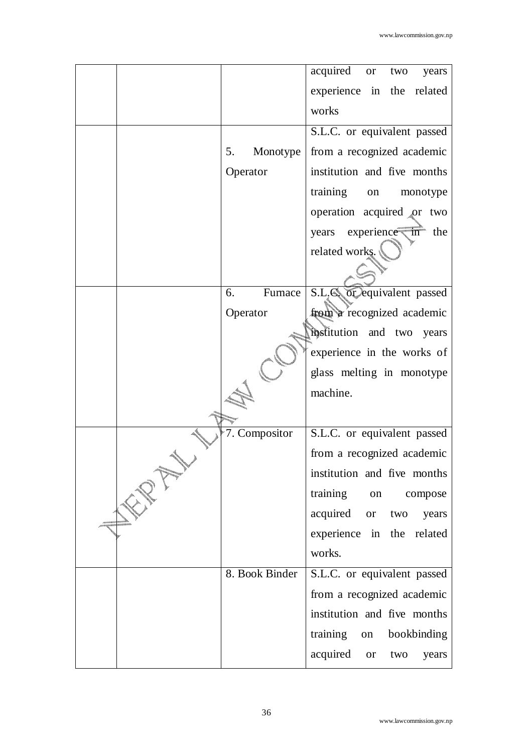|                | acquired or<br>two<br>years         |
|----------------|-------------------------------------|
|                | experience in the related           |
|                | works                               |
|                | S.L.C. or equivalent passed         |
| 5.<br>Monotype | from a recognized academic          |
| Operator       | institution and five months         |
|                | training<br>monotype<br>on          |
|                | operation acquired or two           |
|                | years experience in the             |
|                | related works.                      |
|                |                                     |
| Furnace<br>6.  | S.L. <b>S.</b> or equivalent passed |
| Operator       | from a recognized academic          |
|                | mostitution and two years           |
|                | experience in the works of          |
|                | glass melting in monotype           |
|                | machine.                            |
|                |                                     |
| 7. Compositor  | S.L.C. or equivalent passed         |
|                | from a recognized academic          |
|                | institution and five months         |
|                | training on<br>compose              |
|                | acquired<br>or two<br>years         |
|                | experience in the related           |
|                | works.                              |
| 8. Book Binder | S.L.C. or equivalent passed         |
|                | from a recognized academic          |
|                | institution and five months         |
|                | training on bookbinding             |
|                | acquired or<br>two<br>years         |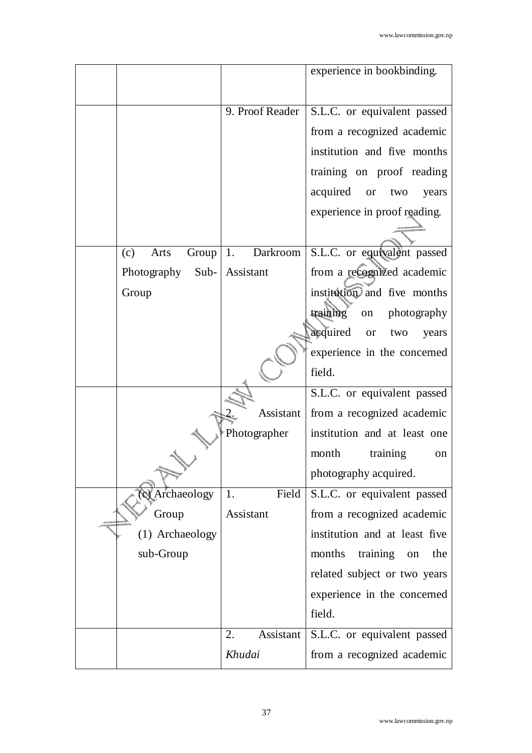|                       |                  | experience in bookbinding.              |
|-----------------------|------------------|-----------------------------------------|
|                       |                  |                                         |
|                       | 9. Proof Reader  | S.L.C. or equivalent passed             |
|                       |                  | from a recognized academic              |
|                       |                  | institution and five months             |
|                       |                  | training on proof reading               |
|                       |                  | acquired<br>two<br><b>or</b><br>years   |
|                       |                  | experience in proof reading.            |
|                       |                  |                                         |
| Group<br>(c)<br>Arts  | 1.<br>Darkroom   | S.L.C. or equivalent passed             |
| $Sub-$<br>Photography | Assistant        | from a recognized academic              |
| Group                 |                  | institution and five months             |
|                       |                  | training<br>photography<br>on           |
|                       |                  | acquired<br><b>or</b><br>two<br>years   |
|                       |                  | experience in the concerned             |
|                       |                  | field.                                  |
|                       |                  | S.L.C. or equivalent passed             |
|                       | Assistant        | from a recognized academic              |
|                       | Photographer     | institution and at least one            |
|                       |                  | month<br>training<br>on                 |
|                       |                  | photography acquired.                   |
| <b>X</b> Archaeology  | Field<br>1.      | S.L.C. or equivalent passed             |
| Group                 | <b>Assistant</b> | from a recognized academic              |
| (1) Archaeology       |                  | institution and at least five           |
| sub-Group             |                  | months<br>training<br>the<br>on         |
|                       |                  | related subject or two years            |
|                       |                  | experience in the concerned             |
|                       |                  | field.                                  |
|                       | 2.               | Assistant   S.L.C. or equivalent passed |
|                       | Khudai           | from a recognized academic              |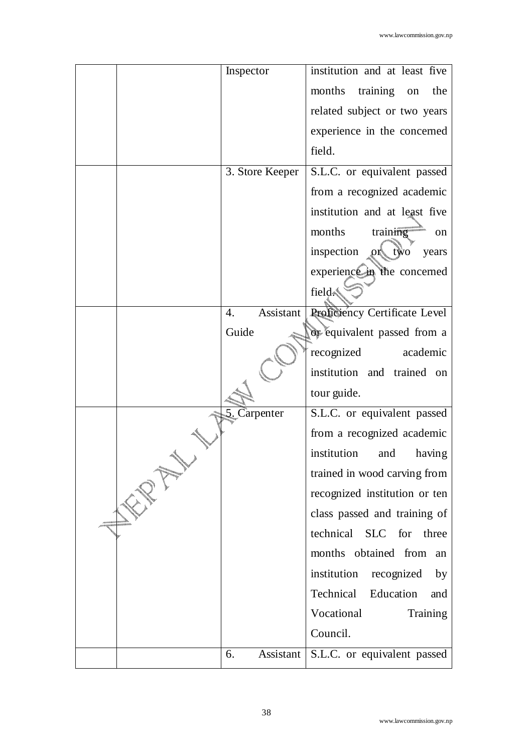| Inspector       | institution and at least five               |
|-----------------|---------------------------------------------|
|                 |                                             |
|                 | training on<br>months<br>the                |
|                 | related subject or two years                |
|                 | experience in the concerned                 |
|                 | field.                                      |
| 3. Store Keeper | S.L.C. or equivalent passed                 |
|                 | from a recognized academic                  |
|                 | institution and at least five               |
|                 | months<br>training<br><sub>on</sub>         |
|                 | inspection<br>$_{\circ}$ two<br>years<br>ОN |
|                 | experience in the concerned                 |
|                 | field.                                      |
| Assistant<br>4. | Proficiency Certificate Level               |
| Guide           | or equivalent passed from a                 |
|                 | recognized<br>academic                      |
|                 | institution and trained on                  |
|                 | tour guide.                                 |
| 5. Carpenter    | S.L.C. or equivalent passed                 |
|                 | from a recognized academic                  |
|                 | institution<br>having<br>and                |
|                 | trained in wood carving from                |
|                 | recognized institution or ten               |
|                 | class passed and training of                |
|                 | technical SLC for three                     |
|                 | months obtained from<br>an                  |
|                 | institution recognized<br>by                |
|                 | Technical<br>Education<br>and               |
|                 | Vocational<br>Training                      |
|                 | Council.                                    |
| Assistant<br>6. | S.L.C. or equivalent passed                 |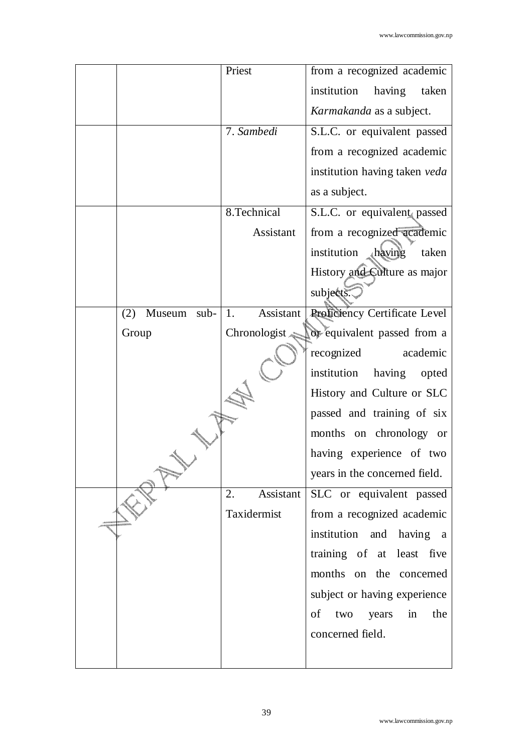|                         | Priest          | from a recognized academic      |
|-------------------------|-----------------|---------------------------------|
|                         |                 | institution<br>having<br>taken  |
|                         |                 | Karmakanda as a subject.        |
|                         | 7. Sambedi      | S.L.C. or equivalent passed     |
|                         |                 | from a recognized academic      |
|                         |                 | institution having taken veda   |
|                         |                 | as a subject.                   |
|                         | 8.Technical     | S.L.C. or equivalent passed     |
|                         | Assistant       | from a recognized academic      |
|                         |                 | institution Aaving<br>taken     |
|                         |                 | History and Culture as major    |
|                         |                 | subjects.                       |
| Museum<br>$sub-$<br>(2) | Assistant<br>1. | Proficiency Certificate Level   |
| Group                   | Chronologist    | or equivalent passed from a     |
|                         |                 | recognized<br>academic          |
|                         |                 | institution<br>having<br>opted  |
|                         |                 | History and Culture or SLC      |
|                         |                 | passed and training of six      |
|                         |                 | months on chronology or         |
|                         |                 | having experience of two        |
|                         |                 | years in the concerned field.   |
|                         | Assistant<br>2. | SLC or equivalent passed        |
|                         | Taxidermist     | from a recognized academic      |
|                         |                 | institution and having a        |
|                         |                 | training of at least five       |
|                         |                 | months on the concerned         |
|                         |                 | subject or having experience    |
|                         |                 | of<br>two<br>years<br>in<br>the |
|                         |                 | concerned field.                |
|                         |                 |                                 |
|                         |                 |                                 |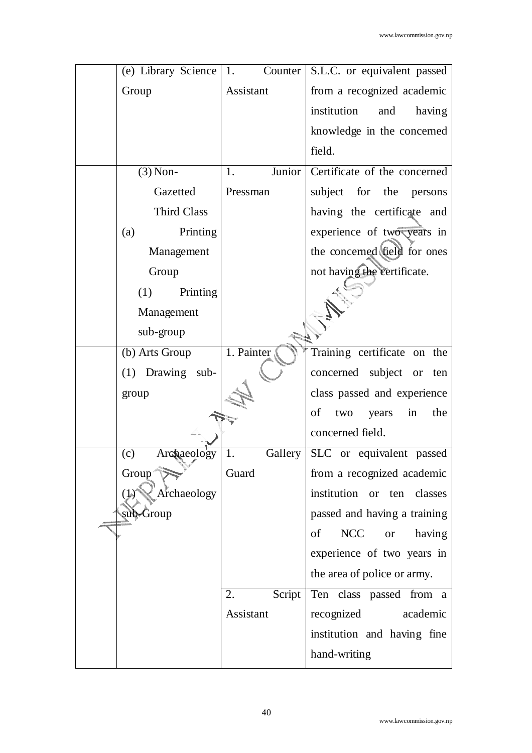| (e) Library Science          | 1.           | Counter   S.L.C. or equivalent passed   |
|------------------------------|--------------|-----------------------------------------|
| Group                        | Assistant    | from a recognized academic              |
|                              |              | institution<br>and<br>having            |
|                              |              | knowledge in the concerned              |
|                              |              | field.                                  |
| $(3)$ Non-                   | Junior<br>1. | Certificate of the concerned            |
| Gazetted                     | Pressman     | subject for the persons                 |
| <b>Third Class</b>           |              | having the certificate and              |
| Printing<br>(a)              |              | experience of two years in              |
| Management                   |              | the concerned field for ones            |
| Group                        |              | not having the certificate.             |
| (1)<br>Printing              |              |                                         |
| Management                   |              |                                         |
| sub-group                    |              |                                         |
| (b) Arts Group               | 1. Painter   | Training certificate on the             |
| (1) Drawing sub-             |              | concerned subject or<br>ten             |
| group                        |              | class passed and experience             |
|                              |              | of<br>years<br>in<br>the<br>two         |
|                              |              | concerned field.                        |
| Archaeology<br>(c)           | 1.           | Gallery   SLC or equivalent passed      |
| Group <sup>®</sup>           | Guard        | from a recognized academic              |
| Archaeology<br>$\mathcal{V}$ |              | institution or ten classes              |
| sub-Group                    |              | passed and having a training            |
|                              |              | <b>NCC</b><br>of<br>having<br><b>or</b> |
|                              |              | experience of two years in              |
|                              |              | the area of police or army.             |
|                              | 2.<br>Script | Ten class passed from a                 |
|                              | Assistant    | recognized<br>academic                  |
|                              |              | institution and having fine             |
|                              |              | hand-writing                            |